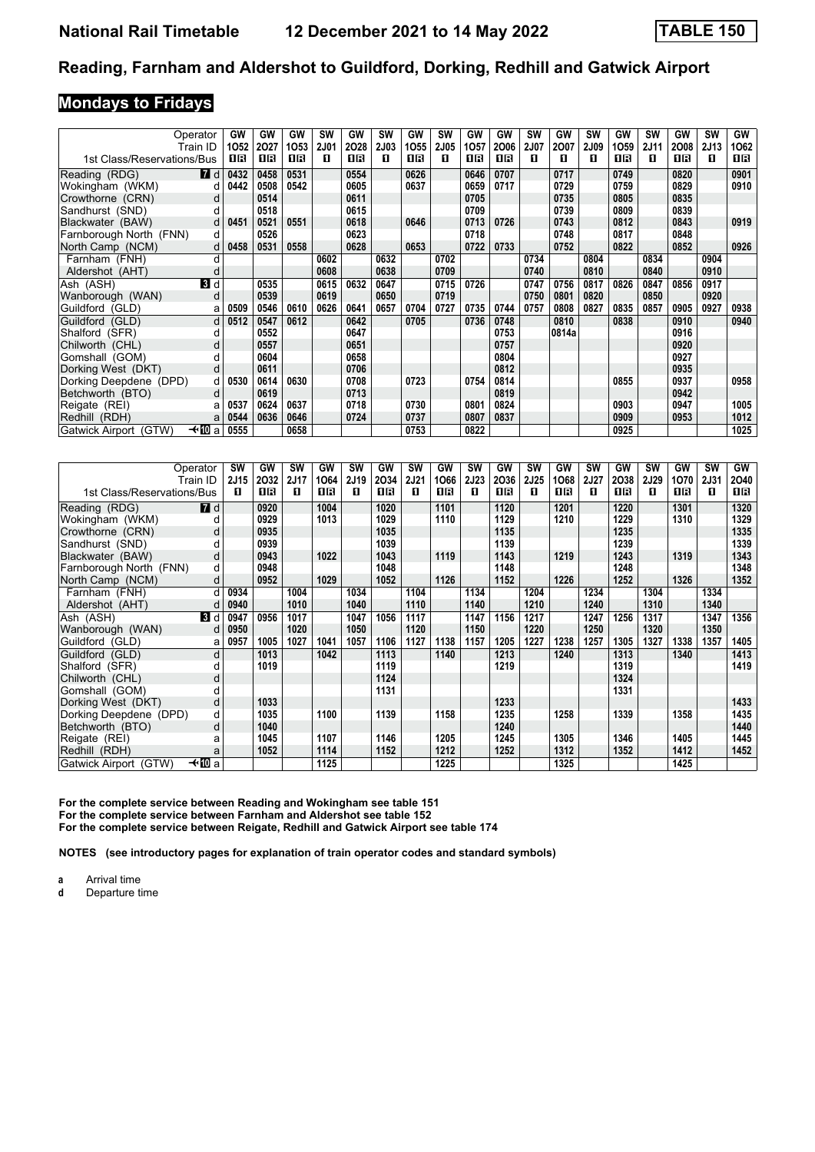#### **Mondays to Fridays**

| Operator                         |                  | GW   | GW   | GW          | <b>SW</b> | GW          | <b>SW</b>   | GW   | <b>SW</b>        | GW          | GW          | <b>SW</b>        | GW    | <b>SW</b>        | GW          | <b>SW</b> | GW          | SW        | GW   |
|----------------------------------|------------------|------|------|-------------|-----------|-------------|-------------|------|------------------|-------------|-------------|------------------|-------|------------------|-------------|-----------|-------------|-----------|------|
| Train ID                         |                  | 1052 | 2027 | 1053<br>0 B | 2J01<br>п | 2028<br>1 R | <b>2J03</b> | 1055 | <b>2J05</b><br>п | 1057<br>1 R | 2006<br>1 R | <b>2J07</b><br>п | 2007  | <b>2J09</b><br>п | 1059<br>1 R | 2J11<br>п | 2008<br>1 R | 2J13<br>п | 1062 |
| 1st Class/Reservations/Bus       |                  | 1R   | 16   |             |           |             | п           | 1R   |                  |             |             |                  | п     |                  |             |           |             |           | 1 R  |
| Reading (RDG)                    | $\blacksquare$ d | 0432 | 0458 | 0531        |           | 0554        |             | 0626 |                  | 0646        | 0707        |                  | 0717  |                  | 0749        |           | 0820        |           | 0901 |
| Wokingham (WKM)                  | d                | 0442 | 0508 | 0542        |           | 0605        |             | 0637 |                  | 0659        | 0717        |                  | 0729  |                  | 0759        |           | 0829        |           | 0910 |
| Crowthorne (CRN)                 | d                |      | 0514 |             |           | 0611        |             |      |                  | 0705        |             |                  | 0735  |                  | 0805        |           | 0835        |           |      |
| Sandhurst (SND)                  | d                |      | 0518 |             |           | 0615        |             |      |                  | 0709        |             |                  | 0739  |                  | 0809        |           | 0839        |           |      |
| Blackwater (BAW)                 | d                | 0451 | 0521 | 0551        |           | 0618        |             | 0646 |                  | 0713        | 0726        |                  | 0743  |                  | 0812        |           | 0843        |           | 0919 |
| Farnborough North (FNN)          | d                |      | 0526 |             |           | 0623        |             |      |                  | 0718        |             |                  | 0748  |                  | 0817        |           | 0848        |           |      |
| North Camp (NCM)                 | d                | 0458 | 0531 | 0558        |           | 0628        |             | 0653 |                  | 0722        | 0733        |                  | 0752  |                  | 0822        |           | 0852        |           | 0926 |
| Farnham (FNH)                    | d                |      |      |             | 0602      |             | 0632        |      | 0702             |             |             | 0734             |       | 0804             |             | 0834      |             | 0904      |      |
| Aldershot (AHT)                  | d                |      |      |             | 0608      |             | 0638        |      | 0709             |             |             | 0740             |       | 0810             |             | 0840      |             | 0910      |      |
| Ash (ASH)                        | 3d               |      | 0535 |             | 0615      | 0632        | 0647        |      | 0715             | 0726        |             | 0747             | 0756  | 0817             | 0826        | 0847      | 0856        | 0917      |      |
| Wanborough (WAN)                 | d                |      | 0539 |             | 0619      |             | 0650        |      | 0719             |             |             | 0750             | 0801  | 0820             |             | 0850      |             | 0920      |      |
| Guildford (GLD)                  | a                | 0509 | 0546 | 0610        | 0626      | 0641        | 0657        | 0704 | 0727             | 0735        | 0744        | 0757             | 0808  | 0827             | 0835        | 0857      | 0905        | 0927      | 0938 |
| Guildford (GLD)                  | d                | 0512 | 0547 | 0612        |           | 0642        |             | 0705 |                  | 0736        | 0748        |                  | 0810  |                  | 0838        |           | 0910        |           | 0940 |
| Shalford (SFR)                   | d                |      | 0552 |             |           | 0647        |             |      |                  |             | 0753        |                  | 0814a |                  |             |           | 0916        |           |      |
| Chilworth (CHL)                  | d                |      | 0557 |             |           | 0651        |             |      |                  |             | 0757        |                  |       |                  |             |           | 0920        |           |      |
| Gomshall (GOM)                   | d                |      | 0604 |             |           | 0658        |             |      |                  |             | 0804        |                  |       |                  |             |           | 0927        |           |      |
| Dorking West (DKT)               | d                |      | 0611 |             |           | 0706        |             |      |                  |             | 0812        |                  |       |                  |             |           | 0935        |           |      |
| Dorking Deepdene (DPD)           | d                | 0530 | 0614 | 0630        |           | 0708        |             | 0723 |                  | 0754        | 0814        |                  |       |                  | 0855        |           | 0937        |           | 0958 |
| Betchworth (BTO)                 | d                |      | 0619 |             |           | 0713        |             |      |                  |             | 0819        |                  |       |                  |             |           | 0942        |           |      |
| Reigate (REI)                    | a                | 0537 | 0624 | 0637        |           | 0718        |             | 0730 |                  | 0801        | 0824        |                  |       |                  | 0903        |           | 0947        |           | 1005 |
| Redhill (RDH)                    | a                | 0544 | 0636 | 0646        |           | 0724        |             | 0737 |                  | 0807        | 0837        |                  |       |                  | 0909        |           | 0953        |           | 1012 |
| —t∙l∐Da<br>Gatwick Airport (GTW) |                  | 0555 |      | 0658        |           |             |             | 0753 |                  | 0822        |             |                  |       |                  | 0925        |           |             |           | 1025 |

|                            | Operator   | SW   | GW   | <b>SW</b> | GW   | SW   | GW   | <b>SW</b>   | GW   | <b>SW</b>   | GW   | <b>SW</b>   | GW   | SW          | GW   | <b>SW</b>   | GW   | <b>SW</b> | <b>GW</b> |
|----------------------------|------------|------|------|-----------|------|------|------|-------------|------|-------------|------|-------------|------|-------------|------|-------------|------|-----------|-----------|
|                            | Train ID   | 2J15 | 2032 | 2J17      | 1064 | 2J19 | 2034 | <b>2J21</b> | 1066 | <b>2J23</b> | 2036 | <b>2J25</b> | 1068 | <b>2J27</b> | 2038 | <b>2J29</b> | 1070 | 2J31      | 2040      |
| 1st Class/Reservations/Bus |            | п    | 1R   | п         | 0 B  | п    | 0 B  | п           | 1 R  | п           | 1 R  | п           | 0 B  | п           | 0 B  | п           | 1 R  | п         | 1 R       |
| Reading (RDG)              | <b>7</b> d |      | 0920 |           | 1004 |      | 1020 |             | 1101 |             | 1120 |             | 1201 |             | 1220 |             | 1301 |           | 1320      |
| Wokingham (WKM)            |            |      | 0929 |           | 1013 |      | 1029 |             | 1110 |             | 1129 |             | 1210 |             | 1229 |             | 1310 |           | 1329      |
| Crowthorne (CRN)           |            |      | 0935 |           |      |      | 1035 |             |      |             | 1135 |             |      |             | 1235 |             |      |           | 1335      |
| Sandhurst (SND)            |            |      | 0939 |           |      |      | 1039 |             |      |             | 1139 |             |      |             | 1239 |             |      |           | 1339      |
| Blackwater (BAW)           | O          |      | 0943 |           | 1022 |      | 1043 |             | 1119 |             | 1143 |             | 1219 |             | 1243 |             | 1319 |           | 1343      |
| Farnborough North (FNN)    | d          |      | 0948 |           |      |      | 1048 |             |      |             | 1148 |             |      |             | 1248 |             |      |           | 1348      |
| North Camp (NCM)           | а          |      | 0952 |           | 1029 |      | 1052 |             | 1126 |             | 1152 |             | 1226 |             | 1252 |             | 1326 |           | 1352      |
| Farnham (FNH)              |            | 0934 |      | 1004      |      | 1034 |      | 1104        |      | 1134        |      | 1204        |      | 1234        |      | 1304        |      | 1334      |           |
| Aldershot (AHT)            |            | 0940 |      | 1010      |      | 1040 |      | 1110        |      | 1140        |      | 1210        |      | 1240        |      | 1310        |      | 1340      |           |
| Ash (ASH)                  | 3d         | 0947 | 0956 | 1017      |      | 1047 | 1056 | 1117        |      | 1147        | 1156 | 1217        |      | 1247        | 1256 | 1317        |      | 1347      | 1356      |
| Wanborough (WAN)           | d          | 0950 |      | 1020      |      | 1050 |      | 1120        |      | 1150        |      | 1220        |      | 1250        |      | 1320        |      | 1350      |           |
| Guildford (GLD)            | a          | 0957 | 1005 | 1027      | 1041 | 1057 | 1106 | 1127        | 1138 | 1157        | 1205 | 1227        | 1238 | 1257        | 1305 | 1327        | 1338 | 1357      | 1405      |
| Guildford (GLD)            | d          |      | 1013 |           | 1042 |      | 1113 |             | 1140 |             | 1213 |             | 1240 |             | 1313 |             | 1340 |           | 1413      |
| Shalford (SFR)             |            |      | 1019 |           |      |      | 1119 |             |      |             | 1219 |             |      |             | 1319 |             |      |           | 1419      |
| Chilworth (CHL)            | d          |      |      |           |      |      | 1124 |             |      |             |      |             |      |             | 1324 |             |      |           |           |
| Gomshall (GOM)             |            |      |      |           |      |      | 1131 |             |      |             |      |             |      |             | 1331 |             |      |           |           |
| Dorking West (DKT)         | d          |      | 1033 |           |      |      |      |             |      |             | 1233 |             |      |             |      |             |      |           | 1433      |
| Dorking Deepdene (DPD)     | d          |      | 1035 |           | 1100 |      | 1139 |             | 1158 |             | 1235 |             | 1258 |             | 1339 |             | 1358 |           | 1435      |
| Betchworth (BTO)           | d          |      | 1040 |           |      |      |      |             |      |             | 1240 |             |      |             |      |             |      |           | 1440      |
| Reigate (REI)              |            |      | 1045 |           | 1107 |      | 1146 |             | 1205 |             | 1245 |             | 1305 |             | 1346 |             | 1405 |           | 1445      |
| Redhill (RDH)              | a          |      | 1052 |           | 1114 |      | 1152 |             | 1212 |             | 1252 |             | 1312 |             | 1352 |             | 1412 |           | 1452      |
| Gatwick Airport (GTW)      | —t∗¶Dia    |      |      |           | 1125 |      |      |             | 1225 |             |      |             | 1325 |             |      |             | 1425 |           |           |

For the complete service between Reading and Wokingham see table 151 **For the complete service between Farnham and Aldershot see table 12 For the complete service between Reigate, Redhill and Gatwick Airport see table 14**

**NOTES (see introductory pages for explanation of train operator codes and standard symbols)**

**a** Arrival time<br>**d** Departure t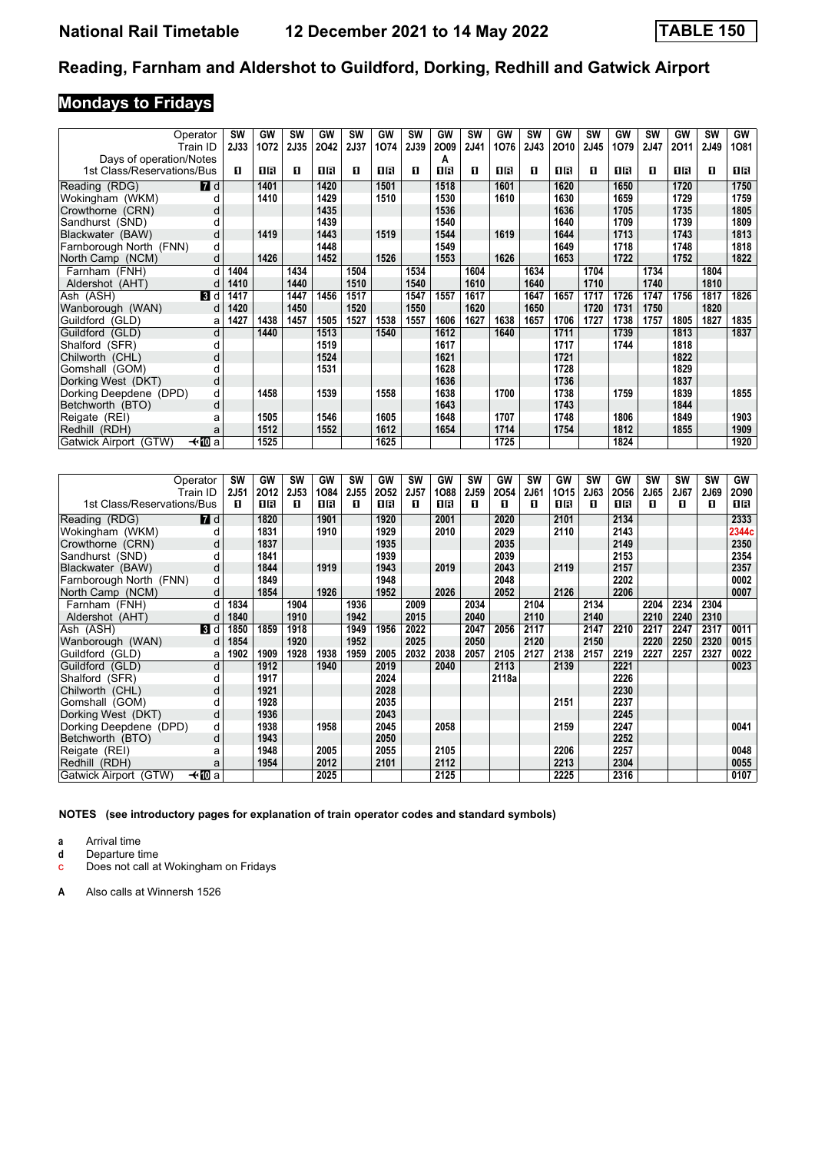# **Mondays to Fridays**

| Operator                   |                | <b>SW</b>   | GW   | <b>SW</b> | GW   | <b>SW</b> | <b>GW</b> | <b>SW</b> | GW   | <b>SW</b> | GW   | <b>SW</b> | GW   | SW   | GW   | <b>SW</b> | GW   | <b>SW</b> | GW   |
|----------------------------|----------------|-------------|------|-----------|------|-----------|-----------|-----------|------|-----------|------|-----------|------|------|------|-----------|------|-----------|------|
|                            | Train ID       | <b>2J33</b> | 1072 | 2J35      | 2042 | 2J37      | 1074      | 2J39      | 2009 | 2J41      | 1076 | 2J43      | 2010 | 2J45 | 1079 | 2J47      | 2011 | 2J49      | 1081 |
| Days of operation/Notes    |                |             |      |           |      |           |           |           | А    |           |      |           |      |      |      |           |      |           |      |
| 1st Class/Reservations/Bus |                | п           | 1R   | п         | 1 R  | п         | 1R        | п         | 1 R  | п         | OB   | O         | 16   | п    | 1 R  | п         | 1R   | O         | 0 B  |
| Reading (RDG)              | $\blacksquare$ |             | 1401 |           | 1420 |           | 1501      |           | 1518 |           | 1601 |           | 1620 |      | 1650 |           | 1720 |           | 1750 |
| Wokingham (WKM)            |                |             | 1410 |           | 1429 |           | 1510      |           | 1530 |           | 1610 |           | 1630 |      | 1659 |           | 1729 |           | 1759 |
| Crowthorne (CRN)           | d              |             |      |           | 1435 |           |           |           | 1536 |           |      |           | 1636 |      | 1705 |           | 1735 |           | 1805 |
| Sandhurst (SND)            | d              |             |      |           | 1439 |           |           |           | 1540 |           |      |           | 1640 |      | 1709 |           | 1739 |           | 1809 |
| Blackwater (BAW)           | d              |             | 1419 |           | 1443 |           | 1519      |           | 1544 |           | 1619 |           | 1644 |      | 1713 |           | 1743 |           | 1813 |
| Farnborough North (FNN)    | d              |             |      |           | 1448 |           |           |           | 1549 |           |      |           | 1649 |      | 1718 |           | 1748 |           | 1818 |
| North Camp (NCM)           | d              |             | 1426 |           | 1452 |           | 1526      |           | 1553 |           | 1626 |           | 1653 |      | 1722 |           | 1752 |           | 1822 |
| Farnham (FNH)              |                | 1404        |      | 1434      |      | 1504      |           | 1534      |      | 1604      |      | 1634      |      | 1704 |      | 1734      |      | 1804      |      |
| Aldershot (AHT)            | d              | 1410        |      | 1440      |      | 1510      |           | 1540      |      | 1610      |      | 1640      |      | 1710 |      | 1740      |      | 1810      |      |
| Ash (ASH)                  | <b>3</b> d     | 1417        |      | 1447      | 1456 | 1517      |           | 1547      | 1557 | 1617      |      | 1647      | 1657 | 1717 | 1726 | 1747      | 1756 | 1817      | 1826 |
| Wanborough (WAN)           | d              | 1420        |      | 1450      |      | 1520      |           | 1550      |      | 1620      |      | 1650      |      | 1720 | 1731 | 1750      |      | 1820      |      |
| Guildford (GLD)            | a              | 1427        | 1438 | 1457      | 1505 | 1527      | 1538      | 1557      | 1606 | 1627      | 1638 | 1657      | 1706 | 1727 | 1738 | 1757      | 1805 | 1827      | 1835 |
| Guildford (GLD)            | d              |             | 1440 |           | 1513 |           | 1540      |           | 1612 |           | 1640 |           | 1711 |      | 1739 |           | 1813 |           | 1837 |
| Shalford (SFR)             | d              |             |      |           | 1519 |           |           |           | 1617 |           |      |           | 1717 |      | 1744 |           | 1818 |           |      |
| Chilworth (CHL)            | d              |             |      |           | 1524 |           |           |           | 1621 |           |      |           | 1721 |      |      |           | 1822 |           |      |
| Gomshall (GOM)             |                |             |      |           | 1531 |           |           |           | 1628 |           |      |           | 1728 |      |      |           | 1829 |           |      |
| Dorking West (DKT)         | d              |             |      |           |      |           |           |           | 1636 |           |      |           | 1736 |      |      |           | 1837 |           |      |
| Dorking Deepdene (DPD)     | d              |             | 1458 |           | 1539 |           | 1558      |           | 1638 |           | 1700 |           | 1738 |      | 1759 |           | 1839 |           | 1855 |
| Betchworth (BTO)           | d              |             |      |           |      |           |           |           | 1643 |           |      |           | 1743 |      |      |           | 1844 |           |      |
| Reigate (REI)              | a              |             | 1505 |           | 1546 |           | 1605      |           | 1648 |           | 1707 |           | 1748 |      | 1806 |           | 1849 |           | 1903 |
| Redhill (RDH)              | a              |             | 1512 |           | 1552 |           | 1612      |           | 1654 |           | 1714 |           | 1754 |      | 1812 |           | 1855 |           | 1909 |
| Gatwick Airport (GTW)      | —t∙l∏Da        |             | 1525 |           |      |           | 1625      |           |      |           | 1725 |           |      |      | 1824 |           |      |           | 1920 |

|                            | Operator         | SW          | GW   | SW   | GW   | <b>SW</b> | GW   | <b>SW</b> | GW   | SW   | GW    | <b>SW</b> | GW   | SW   | GW   | <b>SW</b> | <b>SW</b> | <b>SW</b> | GW    |
|----------------------------|------------------|-------------|------|------|------|-----------|------|-----------|------|------|-------|-----------|------|------|------|-----------|-----------|-----------|-------|
|                            | Train ID         | <b>2J51</b> | 2012 | 2J53 | 1084 | 2J55      | 2052 | 2J57      | 1088 | 2J59 | 2054  | 2J61      | 1015 | 2J63 | 2056 | 2J65      | 2J67      | 2J69      | 2090  |
| 1st Class/Reservations/Bus |                  | п           | 1 R  | п    | 0 B  | п         | 1 R  | п         | 1 R  | п    | п     | п         | 1 R  | п    | 1 R  | п         | п         | п         | 1 R   |
| Reading (RDG)              | $\blacksquare$ d |             | 1820 |      | 1901 |           | 1920 |           | 2001 |      | 2020  |           | 2101 |      | 2134 |           |           |           | 2333  |
| Wokingham (WKM)            |                  |             | 1831 |      | 1910 |           | 1929 |           | 2010 |      | 2029  |           | 2110 |      | 2143 |           |           |           | 2344c |
| Crowthorne (CRN)           | d                |             | 1837 |      |      |           | 1935 |           |      |      | 2035  |           |      |      | 2149 |           |           |           | 2350  |
| Sandhurst (SND)            |                  |             | 1841 |      |      |           | 1939 |           |      |      | 2039  |           |      |      | 2153 |           |           |           | 2354  |
| Blackwater (BAW)           | d                |             | 1844 |      | 1919 |           | 1943 |           | 2019 |      | 2043  |           | 2119 |      | 2157 |           |           |           | 2357  |
| Farnborough North (FNN)    | d                |             | 1849 |      |      |           | 1948 |           |      |      | 2048  |           |      |      | 2202 |           |           |           | 0002  |
| North Camp (NCM)           | d                |             | 1854 |      | 1926 |           | 1952 |           | 2026 |      | 2052  |           | 2126 |      | 2206 |           |           |           | 0007  |
| Farnham (FNH)              | d                | 1834        |      | 1904 |      | 1936      |      | 2009      |      | 2034 |       | 2104      |      | 2134 |      | 2204      | 2234      | 2304      |       |
| Aldershot (AHT)            | d                | 1840        |      | 1910 |      | 1942      |      | 2015      |      | 2040 |       | 2110      |      | 2140 |      | 2210      | 2240      | 2310      |       |
| Ash (ASH)                  | 3 d              | 1850        | 1859 | 1918 |      | 1949      | 1956 | 2022      |      | 2047 | 2056  | 2117      |      | 2147 | 2210 | 2217      | 2247      | 2317      | 0011  |
| Wanborough (WAN)           | d                | 1854        |      | 1920 |      | 1952      |      | 2025      |      | 2050 |       | 2120      |      | 2150 |      | 2220      | 2250      | 2320      | 0015  |
| Guildford (GLD)            | a                | 1902        | 1909 | 1928 | 1938 | 1959      | 2005 | 2032      | 2038 | 2057 | 2105  | 2127      | 2138 | 2157 | 2219 | 2227      | 2257      | 2327      | 0022  |
| Guildford (GLD)            | d                |             | 1912 |      | 1940 |           | 2019 |           | 2040 |      | 2113  |           | 2139 |      | 2221 |           |           |           | 0023  |
| Shalford (SFR)             | d                |             | 1917 |      |      |           | 2024 |           |      |      | 2118a |           |      |      | 2226 |           |           |           |       |
| Chilworth (CHL)            | d                |             | 1921 |      |      |           | 2028 |           |      |      |       |           |      |      | 2230 |           |           |           |       |
| Gomshall (GOM)             | d                |             | 1928 |      |      |           | 2035 |           |      |      |       |           | 2151 |      | 2237 |           |           |           |       |
| Dorking West (DKT)         | d                |             | 1936 |      |      |           | 2043 |           |      |      |       |           |      |      | 2245 |           |           |           |       |
| Dorking Deepdene (DPD)     | d                |             | 1938 |      | 1958 |           | 2045 |           | 2058 |      |       |           | 2159 |      | 2247 |           |           |           | 0041  |
| Betchworth (BTO)           | d                |             | 1943 |      |      |           | 2050 |           |      |      |       |           |      |      | 2252 |           |           |           |       |
| Reigate (REI)              | a                |             | 1948 |      | 2005 |           | 2055 |           | 2105 |      |       |           | 2206 |      | 2257 |           |           |           | 0048  |
| Redhill (RDH)              | a                |             | 1954 |      | 2012 |           | 2101 |           | 2112 |      |       |           | 2213 |      | 2304 |           |           |           | 0055  |
| Gatwick Airport (GTW)      | —t∙l∏Da          |             |      |      | 2025 |           |      |           | 2125 |      |       |           | 2225 |      | 2316 |           |           |           | 0107  |

**NOTES (see introductory pages for explanation of train operator codes and standard symbols)**

**a** Arrival time<br>**d** Departure time

**d** Departure time c Does not call at Wokingham on Fridays

**A** Also calls at Winnersh 1526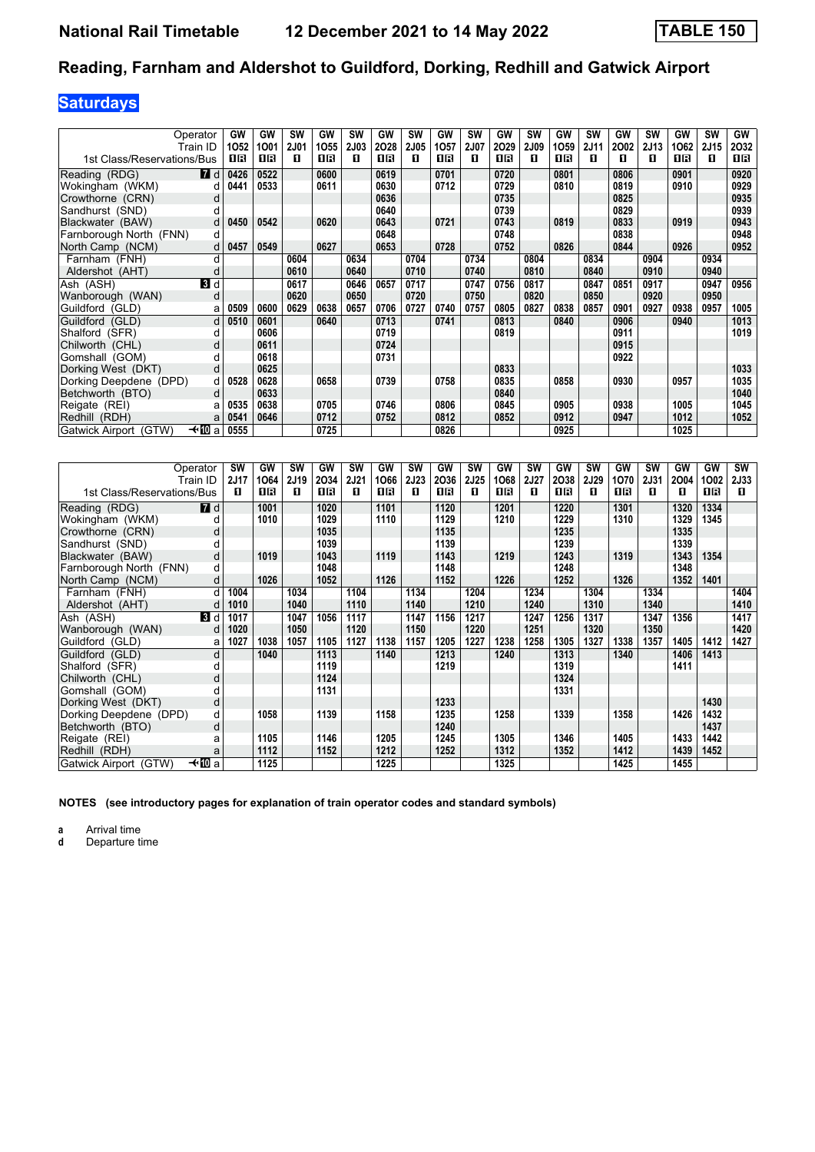# **Saturdays**

|                            | Operator<br>Train ID | GW<br>1052 | <b>GW</b><br>1001 | SW<br><b>2J01</b> | GW<br>1055 | SW<br><b>2J03</b> | GW<br>2028 | <b>SW</b><br><b>2J05</b> | GW<br>1057 | <b>SW</b><br><b>2J07</b> | GW<br>2029 | <b>SW</b><br>2J09 | GW<br>1059 | SW<br>2J11 | GW<br>2002 | <b>SW</b><br>2J13 | GW<br>1062 | <b>SW</b><br>2J15 | GW<br>2032 |
|----------------------------|----------------------|------------|-------------------|-------------------|------------|-------------------|------------|--------------------------|------------|--------------------------|------------|-------------------|------------|------------|------------|-------------------|------------|-------------------|------------|
| 1st Class/Reservations/Bus |                      | 1 R        | 0 B               | п                 | 1 R        | п                 | 0 B        | п                        | 0 B        | п                        | 0 B        | п                 | 0 B        | п          | п          | п                 | 16         | п                 | 1 R        |
| Reading (RDG)              | <b>7</b> d           | 0426       | 0522              |                   | 0600       |                   | 0619       |                          | 0701       |                          | 0720       |                   | 0801       |            | 0806       |                   | 0901       |                   | 0920       |
| Wokingham (WKM)            | d                    | 0441       | 0533              |                   | 0611       |                   | 0630       |                          | 0712       |                          | 0729       |                   | 0810       |            | 0819       |                   | 0910       |                   | 0929       |
| Crowthorne (CRN)           | d                    |            |                   |                   |            |                   | 0636       |                          |            |                          | 0735       |                   |            |            | 0825       |                   |            |                   | 0935       |
| Sandhurst (SND)            |                      |            |                   |                   |            |                   | 0640       |                          |            |                          | 0739       |                   |            |            | 0829       |                   |            |                   | 0939       |
| Blackwater (BAW)           | d                    | 0450       | 0542              |                   | 0620       |                   | 0643       |                          | 0721       |                          | 0743       |                   | 0819       |            | 0833       |                   | 0919       |                   | 0943       |
| Farnborough North (FNN)    | d                    |            |                   |                   |            |                   | 0648       |                          |            |                          | 0748       |                   |            |            | 0838       |                   |            |                   | 0948       |
| North Camp (NCM)           | d                    | 0457       | 0549              |                   | 0627       |                   | 0653       |                          | 0728       |                          | 0752       |                   | 0826       |            | 0844       |                   | 0926       |                   | 0952       |
| Farnham (FNH)              | d                    |            |                   | 0604              |            | 0634              |            | 0704                     |            | 0734                     |            | 0804              |            | 0834       |            | 0904              |            | 0934              |            |
| Aldershot (AHT)            | d                    |            |                   | 0610              |            | 0640              |            | 0710                     |            | 0740                     |            | 0810              |            | 0840       |            | 0910              |            | 0940              |            |
| Ash (ASH)                  | 3d                   |            |                   | 0617              |            | 0646              | 0657       | 0717                     |            | 0747                     | 0756       | 0817              |            | 0847       | 0851       | 0917              |            | 0947              | 0956       |
| Wanborough (WAN)           | d                    |            |                   | 0620              |            | 0650              |            | 0720                     |            | 0750                     |            | 0820              |            | 0850       |            | 0920              |            | 0950              |            |
| Guildford (GLD)            | a                    | 0509       | 0600              | 0629              | 0638       | 0657              | 0706       | 0727                     | 0740       | 0757                     | 0805       | 0827              | 0838       | 0857       | 0901       | 0927              | 0938       | 0957              | 1005       |
| Guildford (GLD)            | d                    | 0510       | 0601              |                   | 0640       |                   | 0713       |                          | 0741       |                          | 0813       |                   | 0840       |            | 0906       |                   | 0940       |                   | 1013       |
| Shalford (SFR)             | d                    |            | 0606              |                   |            |                   | 0719       |                          |            |                          | 0819       |                   |            |            | 0911       |                   |            |                   | 1019       |
| Chilworth (CHL)            | d                    |            | 0611              |                   |            |                   | 0724       |                          |            |                          |            |                   |            |            | 0915       |                   |            |                   |            |
| Gomshall (GOM)             |                      |            | 0618              |                   |            |                   | 0731       |                          |            |                          |            |                   |            |            | 0922       |                   |            |                   |            |
| Dorking West (DKT)         | d                    |            | 0625              |                   |            |                   |            |                          |            |                          | 0833       |                   |            |            |            |                   |            |                   | 1033       |
| Dorking Deepdene (DPD)     | d                    | 0528       | 0628              |                   | 0658       |                   | 0739       |                          | 0758       |                          | 0835       |                   | 0858       |            | 0930       |                   | 0957       |                   | 1035       |
| Betchworth (BTO)           | d                    |            | 0633              |                   |            |                   |            |                          |            |                          | 0840       |                   |            |            |            |                   |            |                   | 1040       |
| Reigate (REI)              | a                    | 0535       | 0638              |                   | 0705       |                   | 0746       |                          | 0806       |                          | 0845       |                   | 0905       |            | 0938       |                   | 1005       |                   | 1045       |
| Redhill (RDH)              |                      | 0541       | 0646              |                   | 0712       |                   | 0752       |                          | 0812       |                          | 0852       |                   | 0912       |            | 0947       |                   | 1012       |                   | 1052       |
| Gatwick Airport (GTW)      | —t∙l∐Da              | 0555       |                   |                   | 0725       |                   |            |                          | 0826       |                          |            |                   | 0925       |            |            |                   | 1025       |                   |            |

|                            | Operator<br>Train ID | <b>SW</b><br>2J17 | GW<br>1064 | <b>SW</b><br>2J19 | GW<br>2034 | <b>SW</b><br><b>2J21</b> | GW<br>1066 | <b>SW</b><br>2J23 | <b>GW</b><br>2036 | SW<br><b>2J25</b> | GW<br>1068 | <b>SW</b><br>2J27 | GW<br>2038 | <b>SW</b><br>2J29 | GW<br>1070 | <b>SW</b><br><b>2J31</b> | GW<br>2004 | GW<br>1002 | <b>SW</b><br>2J33 |
|----------------------------|----------------------|-------------------|------------|-------------------|------------|--------------------------|------------|-------------------|-------------------|-------------------|------------|-------------------|------------|-------------------|------------|--------------------------|------------|------------|-------------------|
| 1st Class/Reservations/Bus |                      | п                 | 0 B        | п                 | 0 B        | п                        | 0 B        | п                 | 0 R               | п                 | 0 B        | п                 | 0 R        | п                 | 1 R        | п                        | п          | 0 R        | п                 |
| Reading (RDG)              | <b>7</b> d           |                   | 1001       |                   | 1020       |                          | 1101       |                   | 1120              |                   | 1201       |                   | 1220       |                   | 1301       |                          | 1320       | 1334       |                   |
| Wokingham (WKM)            | d                    |                   | 1010       |                   | 1029       |                          | 1110       |                   | 1129              |                   | 1210       |                   | 1229       |                   | 1310       |                          | 1329       | 1345       |                   |
| Crowthorne (CRN)           | d                    |                   |            |                   | 1035       |                          |            |                   | 1135              |                   |            |                   | 1235       |                   |            |                          | 1335       |            |                   |
| Sandhurst (SND)            | d                    |                   |            |                   | 1039       |                          |            |                   | 1139              |                   |            |                   | 1239       |                   |            |                          | 1339       |            |                   |
| Blackwater (BAW)           | d                    |                   | 1019       |                   | 1043       |                          | 1119       |                   | 1143              |                   | 1219       |                   | 1243       |                   | 1319       |                          | 1343       | 1354       |                   |
| Farnborough North (FNN)    | d                    |                   |            |                   | 1048       |                          |            |                   | 1148              |                   |            |                   | 1248       |                   |            |                          | 1348       |            |                   |
| North Camp (NCM)           | d                    |                   | 1026       |                   | 1052       |                          | 1126       |                   | 1152              |                   | 1226       |                   | 1252       |                   | 1326       |                          | 1352       | 1401       |                   |
| Farnham (FNH)              | d                    | 1004              |            | 1034              |            | 1104                     |            | 1134              |                   | 1204              |            | 1234              |            | 1304              |            | 1334                     |            |            | 1404              |
| Aldershot (AHT)            | d                    | 1010              |            | 1040              |            | 1110                     |            | 1140              |                   | 1210              |            | 1240              |            | 1310              |            | 1340                     |            |            | 1410              |
| Ash (ASH)                  | 3d                   | 1017              |            | 1047              | 1056       | 1117                     |            | 1147              | 1156              | 1217              |            | 1247              | 1256       | 1317              |            | 1347                     | 1356       |            | 1417              |
| Wanborough (WAN)           | d                    | 1020              |            | 1050              |            | 1120                     |            | 1150              |                   | 1220              |            | 1251              |            | 1320              |            | 1350                     |            |            | 1420              |
| Guildford (GLD)            | a                    | 1027              | 1038       | 1057              | 1105       | 1127                     | 1138       | 1157              | 1205              | 1227              | 1238       | 1258              | 1305       | 1327              | 1338       | 1357                     | 1405       | 1412       | 1427              |
| Guildford (GLD)            | d                    |                   | 1040       |                   | 1113       |                          | 1140       |                   | 1213              |                   | 1240       |                   | 1313       |                   | 1340       |                          | 1406       | 1413       |                   |
| Shalford (SFR)             | d                    |                   |            |                   | 1119       |                          |            |                   | 1219              |                   |            |                   | 1319       |                   |            |                          | 1411       |            |                   |
| Chilworth (CHL)            | d                    |                   |            |                   | 1124       |                          |            |                   |                   |                   |            |                   | 1324       |                   |            |                          |            |            |                   |
| Gomshall (GOM)             |                      |                   |            |                   | 1131       |                          |            |                   |                   |                   |            |                   | 1331       |                   |            |                          |            |            |                   |
| Dorking West (DKT)         | d                    |                   |            |                   |            |                          |            |                   | 1233              |                   |            |                   |            |                   |            |                          |            | 1430       |                   |
| Dorking Deepdene (DPD)     | d                    |                   | 1058       |                   | 1139       |                          | 1158       |                   | 1235              |                   | 1258       |                   | 1339       |                   | 1358       |                          | 1426       | 1432       |                   |
| Betchworth (BTO)           | d                    |                   |            |                   |            |                          |            |                   | 1240              |                   |            |                   |            |                   |            |                          |            | 1437       |                   |
| Reigate (REI)              | a                    |                   | 1105       |                   | 1146       |                          | 1205       |                   | 1245              |                   | 1305       |                   | 1346       |                   | 1405       |                          | 1433       | 1442       |                   |
| Redhill (RDH)              | a                    |                   | 1112       |                   | 1152       |                          | 1212       |                   | 1252              |                   | 1312       |                   | 1352       |                   | 1412       |                          | 1439       | 1452       |                   |
| Gatwick Airport (GTW)      | —t∙M⊡a               |                   | 1125       |                   |            |                          | 1225       |                   |                   |                   | 1325       |                   |            |                   | 1425       |                          | 1455       |            |                   |

**NOTES (see introductory pages for explanation of train operator codes and standard symbols)**

**a** Arrival time<br>**d** Departure t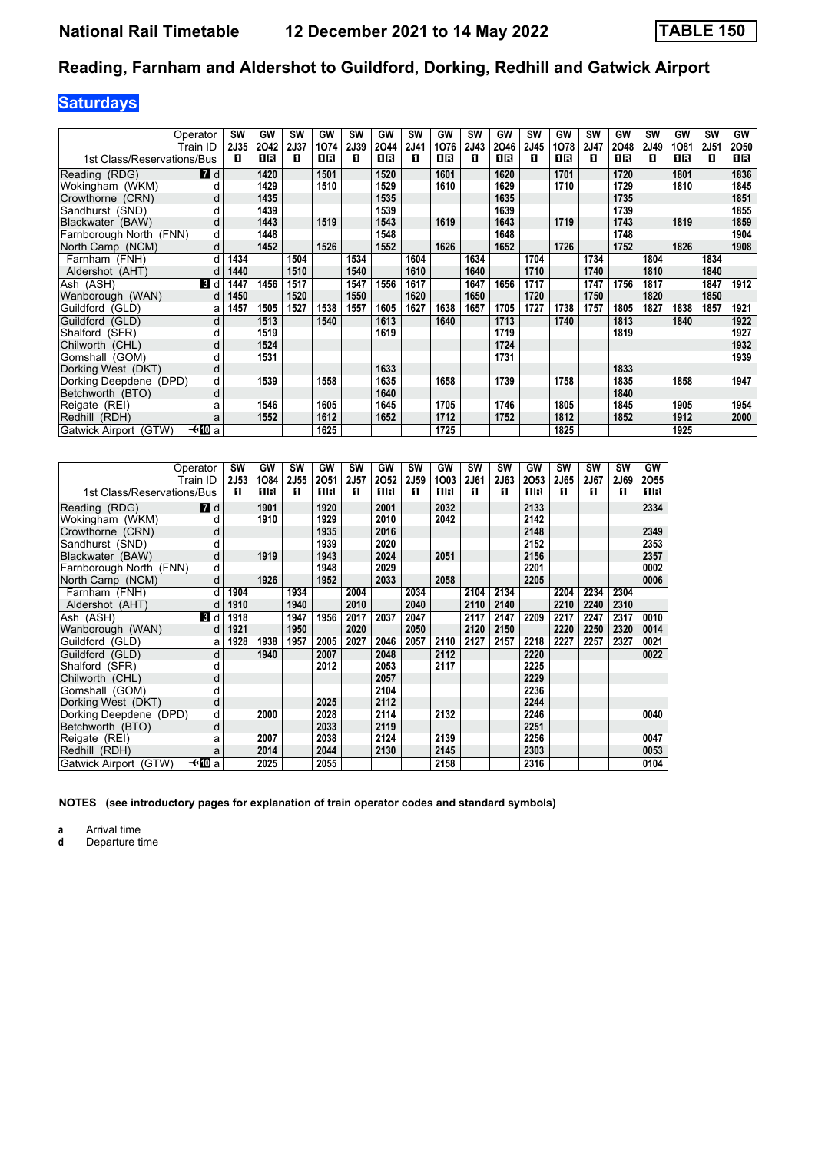# **Saturdays**

|                            | Operator<br>Train ID | SW<br>2J35 | GW<br>2042 | SW<br>2J37 | GW<br>1074 | <b>SW</b><br><b>2J39</b> | GW<br>2044 | <b>SW</b><br>2J41 | <b>GW</b><br>1076 | <b>SW</b><br><b>2J43</b> | GW<br>2046 | SW<br>2J45 | GW<br>1078 | SW<br>2J47 | GW<br>2048 | <b>SW</b><br>2J49 | GW<br>1081 | SW<br>2J51 | GW<br>2050 |
|----------------------------|----------------------|------------|------------|------------|------------|--------------------------|------------|-------------------|-------------------|--------------------------|------------|------------|------------|------------|------------|-------------------|------------|------------|------------|
| 1st Class/Reservations/Bus |                      | п          | 16         | п          | 16         | п                        | 0 B        | п                 | 1 R               | п                        | 1 R        | 0          | 0 B        | п          | 1 R        | п                 | 1 R        | п          | 1 R        |
| Reading (RDG)              | $\blacksquare$ d     |            | 1420       |            | 1501       |                          | 1520       |                   | 1601              |                          | 1620       |            | 1701       |            | 1720       |                   | 1801       |            | 1836       |
| Wokingham (WKM)            | d                    |            | 1429       |            | 1510       |                          | 1529       |                   | 1610              |                          | 1629       |            | 1710       |            | 1729       |                   | 1810       |            | 1845       |
| Crowthorne (CRN)           | d                    |            | 1435       |            |            |                          | 1535       |                   |                   |                          | 1635       |            |            |            | 1735       |                   |            |            | 1851       |
| Sandhurst (SND)            | d                    |            | 1439       |            |            |                          | 1539       |                   |                   |                          | 1639       |            |            |            | 1739       |                   |            |            | 1855       |
| Blackwater (BAW)           | d                    |            | 1443       |            | 1519       |                          | 1543       |                   | 1619              |                          | 1643       |            | 1719       |            | 1743       |                   | 1819       |            | 1859       |
| Farnborough North (FNN)    | d                    |            | 1448       |            |            |                          | 1548       |                   |                   |                          | 1648       |            |            |            | 1748       |                   |            |            | 1904       |
| North Camp (NCM)           | d                    |            | 1452       |            | 1526       |                          | 1552       |                   | 1626              |                          | 1652       |            | 1726       |            | 1752       |                   | 1826       |            | 1908       |
| Farnham (FNH)              | d                    | 1434       |            | 1504       |            | 1534                     |            | 1604              |                   | 1634                     |            | 1704       |            | 1734       |            | 1804              |            | 1834       |            |
| Aldershot (AHT)            |                      | 1440       |            | 1510       |            | 1540                     |            | 1610              |                   | 1640                     |            | 1710       |            | 1740       |            | 1810              |            | 1840       |            |
| Ash (ASH)                  | 3 d                  | 1447       | 1456       | 1517       |            | 1547                     | 1556       | 1617              |                   | 1647                     | 1656       | 1717       |            | 1747       | 1756       | 1817              |            | 1847       | 1912       |
| Wanborough (WAN)           | d                    | 1450       |            | 1520       |            | 1550                     |            | 1620              |                   | 1650                     |            | 1720       |            | 1750       |            | 1820              |            | 1850       |            |
| Guildford (GLD)            | a                    | 1457       | 1505       | 1527       | 1538       | 1557                     | 1605       | 1627              | 1638              | 1657                     | 1705       | 1727       | 1738       | 1757       | 1805       | 1827              | 1838       | 1857       | 1921       |
| Guildford (GLD)            | d                    |            | 1513       |            | 1540       |                          | 1613       |                   | 1640              |                          | 1713       |            | 1740       |            | 1813       |                   | 1840       |            | 1922       |
| Shalford (SFR)             | d                    |            | 1519       |            |            |                          | 1619       |                   |                   |                          | 1719       |            |            |            | 1819       |                   |            |            | 1927       |
| Chilworth (CHL)            | d                    |            | 1524       |            |            |                          |            |                   |                   |                          | 1724       |            |            |            |            |                   |            |            | 1932       |
| Gomshall (GOM)             | d                    |            | 1531       |            |            |                          |            |                   |                   |                          | 1731       |            |            |            |            |                   |            |            | 1939       |
| Dorking West (DKT)         | d                    |            |            |            |            |                          | 1633       |                   |                   |                          |            |            |            |            | 1833       |                   |            |            |            |
| Dorking Deepdene (DPD)     | d                    |            | 1539       |            | 1558       |                          | 1635       |                   | 1658              |                          | 1739       |            | 1758       |            | 1835       |                   | 1858       |            | 1947       |
| Betchworth (BTO)           | d                    |            |            |            |            |                          | 1640       |                   |                   |                          |            |            |            |            | 1840       |                   |            |            |            |
| Reigate (REI)              | a                    |            | 1546       |            | 1605       |                          | 1645       |                   | 1705              |                          | 1746       |            | 1805       |            | 1845       |                   | 1905       |            | 1954       |
| Redhill (RDH)              | a                    |            | 1552       |            | 1612       |                          | 1652       |                   | 1712              |                          | 1752       |            | 1812       |            | 1852       |                   | 1912       |            | 2000       |
| Gatwick Airport (GTW)      | —t∗∏⊡a               |            |            |            | 1625       |                          |            |                   | 1725              |                          |            |            | 1825       |            |            |                   | 1925       |            |            |

|                            | Operator<br>Train ID | <b>SW</b><br>2J53 | GW<br>1084 | <b>SW</b><br>2J55 | <b>GW</b><br>2051 | SW<br>2J57 | GW<br>2052 | SW<br>2J59 | GW<br>1003 | <b>SW</b><br>2J61 | <b>SW</b><br>2J63 | GW<br>2053 | SW<br>2J65 | <b>SW</b><br>2J67 | SW<br>2J69 | GW<br>2055 |
|----------------------------|----------------------|-------------------|------------|-------------------|-------------------|------------|------------|------------|------------|-------------------|-------------------|------------|------------|-------------------|------------|------------|
| 1st Class/Reservations/Bus |                      | п                 | 1R         | п                 | 1 R               | п          | <b>08</b>  | п          | 0 B        | п                 | п                 | <b>0B</b>  | п          | п                 | п          | 0 B        |
| Reading (RDG)              | <b>7</b> d           |                   | 1901       |                   | 1920              |            | 2001       |            | 2032       |                   |                   | 2133       |            |                   |            | 2334       |
| Wokingham (WKM)            | d                    |                   | 1910       |                   | 1929              |            | 2010       |            | 2042       |                   |                   | 2142       |            |                   |            |            |
| Crowthorne (CRN)           | d                    |                   |            |                   | 1935              |            | 2016       |            |            |                   |                   | 2148       |            |                   |            | 2349       |
| Sandhurst (SND)            | d                    |                   |            |                   | 1939              |            | 2020       |            |            |                   |                   | 2152       |            |                   |            | 2353       |
| Blackwater (BAW)           | d                    |                   | 1919       |                   | 1943              |            | 2024       |            | 2051       |                   |                   | 2156       |            |                   |            | 2357       |
| Farnborough North (FNN)    | d                    |                   |            |                   | 1948              |            | 2029       |            |            |                   |                   | 2201       |            |                   |            | 0002       |
| North Camp (NCM)           | d                    |                   | 1926       |                   | 1952              |            | 2033       |            | 2058       |                   |                   | 2205       |            |                   |            | 0006       |
| Farnham (FNH)              | d                    | 1904              |            | 1934              |                   | 2004       |            | 2034       |            | 2104              | 2134              |            | 2204       | 2234              | 2304       |            |
| Aldershot (AHT)            | d                    | 1910              |            | 1940              |                   | 2010       |            | 2040       |            | 2110              | 2140              |            | 2210       | 2240              | 2310       |            |
| Ash (ASH)                  | $\mathbf{B}$ d       | 1918              |            | 1947              | 1956              | 2017       | 2037       | 2047       |            | 2117              | 2147              | 2209       | 2217       | 2247              | 2317       | 0010       |
| Wanborough (WAN)           | d                    | 1921              |            | 1950              |                   | 2020       |            | 2050       |            | 2120              | 2150              |            | 2220       | 2250              | 2320       | 0014       |
| Guildford (GLD)            | a                    | 1928              | 1938       | 1957              | 2005              | 2027       | 2046       | 2057       | 2110       | 2127              | 2157              | 2218       | 2227       | 2257              | 2327       | 0021       |
| Guildford (GLD)            | d                    |                   | 1940       |                   | 2007              |            | 2048       |            | 2112       |                   |                   | 2220       |            |                   |            | 0022       |
| Shalford (SFR)             | d                    |                   |            |                   | 2012              |            | 2053       |            | 2117       |                   |                   | 2225       |            |                   |            |            |
| Chilworth (CHL)            | d                    |                   |            |                   |                   |            | 2057       |            |            |                   |                   | 2229       |            |                   |            |            |
| Gomshall (GOM)             | d                    |                   |            |                   |                   |            | 2104       |            |            |                   |                   | 2236       |            |                   |            |            |
| Dorking West (DKT)         | d                    |                   |            |                   | 2025              |            | 2112       |            |            |                   |                   | 2244       |            |                   |            |            |
| Dorking Deepdene (DPD)     | d                    |                   | 2000       |                   | 2028              |            | 2114       |            | 2132       |                   |                   | 2246       |            |                   |            | 0040       |
| Betchworth (BTO)           | d                    |                   |            |                   | 2033              |            | 2119       |            |            |                   |                   | 2251       |            |                   |            |            |
| Reigate (REI)              | a                    |                   | 2007       |                   | 2038              |            | 2124       |            | 2139       |                   |                   | 2256       |            |                   |            | 0047       |
| Redhill (RDH)              | a                    |                   | 2014       |                   | 2044              |            | 2130       |            | 2145       |                   |                   | 2303       |            |                   |            | 0053       |
| Gatwick Airport (GTW)      | —t∙M∏a               |                   | 2025       |                   | 2055              |            |            |            | 2158       |                   |                   | 2316       |            |                   |            | 0104       |

**NOTES (see introductory pages for explanation of train operator codes and standard symbols)**

**a** Arrival time<br>**d** Departure t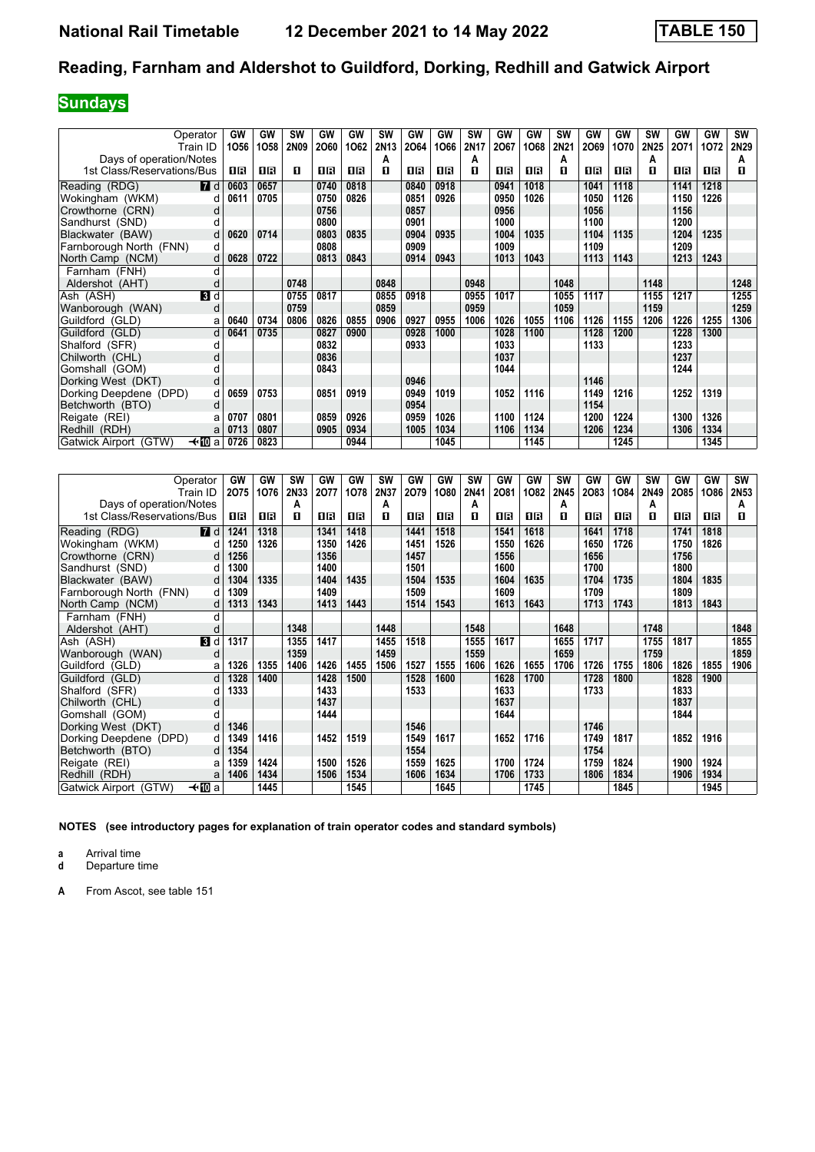## **Sundays**

| Operator                        |                | GW   | GW   | <b>SW</b> | GW   | GW   | <b>SW</b> | GW   | GW   | <b>SW</b> | GW   | GW   | <b>SW</b> | GW   | GW   | <b>SW</b> | GW   | GW   | SW   |
|---------------------------------|----------------|------|------|-----------|------|------|-----------|------|------|-----------|------|------|-----------|------|------|-----------|------|------|------|
| Train ID                        |                | 1056 | 1058 | 2N09      | 2060 | 1062 | 2N13      | 2064 | 1066 | 2N17      | 2067 | 1068 | 2N21      | 2069 | 1070 | 2N25      | 2071 | 1072 | 2N29 |
| Days of operation/Notes         |                |      |      |           |      |      | А         |      |      | A         |      |      | A         |      |      | A         |      |      | A    |
| 1st Class/Reservations/Bus      |                | 1 R  | 1 R  | п         | 1 R  | 0 B  | п         | 16   | 0 B  | п         | 0 B  | 1 R  | п         | 0 B  | 0 B  | п         | 1 R  | 0 B  | п    |
|                                 |                |      |      |           |      |      |           |      |      |           |      |      |           |      |      |           |      |      |      |
| Reading (RDG)                   | 7d             | 0603 | 0657 |           | 0740 | 0818 |           | 0840 | 0918 |           | 0941 | 1018 |           | 1041 | 1118 |           | 1141 | 1218 |      |
| Wokingham (WKM)                 | d              | 0611 | 0705 |           | 0750 | 0826 |           | 0851 | 0926 |           | 0950 | 1026 |           | 1050 | 1126 |           | 1150 | 1226 |      |
| Crowthorne (CRN)                | d              |      |      |           | 0756 |      |           | 0857 |      |           | 0956 |      |           | 1056 |      |           | 1156 |      |      |
| Sandhurst (SND)                 | d              |      |      |           | 0800 |      |           | 0901 |      |           | 1000 |      |           | 1100 |      |           | 1200 |      |      |
| Blackwater (BAW)                | d              | 0620 | 0714 |           | 0803 | 0835 |           | 0904 | 0935 |           | 1004 | 1035 |           | 1104 | 1135 |           | 1204 | 1235 |      |
| Farnborough North (FNN)         | d              |      |      |           | 0808 |      |           | 0909 |      |           | 1009 |      |           | 1109 |      |           | 1209 |      |      |
| North Camp (NCM)                | d              | 0628 | 0722 |           | 0813 | 0843 |           | 0914 | 0943 |           | 1013 | 1043 |           | 1113 | 1143 |           | 1213 | 1243 |      |
| Farnham (FNH)                   | U              |      |      |           |      |      |           |      |      |           |      |      |           |      |      |           |      |      |      |
| Aldershot (AHT)                 | O              |      |      | 0748      |      |      | 0848      |      |      | 0948      |      |      | 1048      |      |      | 1148      |      |      | 1248 |
| Ash (ASH)                       | $\blacksquare$ |      |      | 0755      | 0817 |      | 0855      | 0918 |      | 0955      | 1017 |      | 1055      | 1117 |      | 1155      | 1217 |      | 1255 |
| Wanborough (WAN)                | d              |      |      | 0759      |      |      | 0859      |      |      | 0959      |      |      | 1059      |      |      | 1159      |      |      | 1259 |
| Guildford (GLD)                 | a              | 0640 | 0734 | 0806      | 0826 | 0855 | 0906      | 0927 | 0955 | 1006      | 1026 | 1055 | 1106      | 1126 | 1155 | 1206      | 1226 | 1255 | 1306 |
| Guildford (GLD)                 | d              | 0641 | 0735 |           | 0827 | 0900 |           | 0928 | 1000 |           | 1028 | 1100 |           | 1128 | 1200 |           | 1228 | 1300 |      |
| Shalford (SFR)                  | d              |      |      |           | 0832 |      |           | 0933 |      |           | 1033 |      |           | 1133 |      |           | 1233 |      |      |
| Chilworth (CHL)                 | d              |      |      |           | 0836 |      |           |      |      |           | 1037 |      |           |      |      |           | 1237 |      |      |
| Gomshall (GOM)                  | d              |      |      |           | 0843 |      |           |      |      |           | 1044 |      |           |      |      |           | 1244 |      |      |
| Dorking West (DKT)              | d              |      |      |           |      |      |           | 0946 |      |           |      |      |           | 1146 |      |           |      |      |      |
| Dorking Deepdene (DPD)          | d              | 0659 | 0753 |           | 0851 | 0919 |           | 0949 | 1019 |           | 1052 | 1116 |           | 1149 | 1216 |           | 1252 | 1319 |      |
| Betchworth (BTO)                | d              |      |      |           |      |      |           | 0954 |      |           |      |      |           | 1154 |      |           |      |      |      |
| Reigate (REI)                   | a              | 0707 | 0801 |           | 0859 | 0926 |           | 0959 | 1026 |           | 1100 | 1124 |           | 1200 | 1224 |           | 1300 | 1326 |      |
| Redhill (RDH)                   | a              | 0713 | 0807 |           | 0905 | 0934 |           | 1005 | 1034 |           | 1106 | 1134 |           | 1206 | 1234 |           | 1306 | 1334 |      |
| —tn⊡al<br>Gatwick Airport (GTW) |                | 0726 | 0823 |           |      | 0944 |           |      | 1045 |           |      | 1145 |           |      | 1245 |           |      | 1345 |      |

| Operator                   |                | GW   | GW   | <b>SW</b> | GW   | GW   | <b>SW</b> | GW   | <b>GW</b> | <b>SW</b> | GW   | GW   | <b>SW</b> | GW   | GW   | <b>SW</b> | GW   | GW   | SW   |
|----------------------------|----------------|------|------|-----------|------|------|-----------|------|-----------|-----------|------|------|-----------|------|------|-----------|------|------|------|
| Train ID                   |                | 2075 | 1076 | 2N33      | 2077 | 1078 | 2N37      | 2079 | 1080      | 2N41      | 2081 | 1082 | 2N45      | 2083 | 1084 | 2N49      | 2085 | 1086 | 2N53 |
| Days of operation/Notes    |                |      |      | Α         |      |      | A         |      |           | А         |      |      | A         |      |      | A         |      |      | A    |
| 1st Class/Reservations/Bus |                | 1 R  | 1 R  | п         | 1 R  | 0 B  | п         | 1 R  | 1 R       | п         | 1 R  | 16   | п         | 0B   | 1 R  | п         | OВ   | 1 R  | п    |
| Reading (RDG)              | <b>7</b> d     | 1241 | 1318 |           | 1341 | 1418 |           | 1441 | 1518      |           | 1541 | 1618 |           | 1641 | 1718 |           | 1741 | 1818 |      |
| Wokingham (WKM)            | d              | 1250 | 1326 |           | 1350 | 1426 |           | 1451 | 1526      |           | 1550 | 1626 |           | 1650 | 1726 |           | 1750 | 1826 |      |
| Crowthorne (CRN)           | d              | 1256 |      |           | 1356 |      |           | 1457 |           |           | 1556 |      |           | 1656 |      |           | 1756 |      |      |
| Sandhurst (SND)            | d              | 1300 |      |           | 1400 |      |           | 1501 |           |           | 1600 |      |           | 1700 |      |           | 1800 |      |      |
| Blackwater (BAW)           | d              | 1304 | 1335 |           | 1404 | 1435 |           | 1504 | 1535      |           | 1604 | 1635 |           | 1704 | 1735 |           | 1804 | 1835 |      |
| Farnborough North (FNN)    | d              | 1309 |      |           | 1409 |      |           | 1509 |           |           | 1609 |      |           | 1709 |      |           | 1809 |      |      |
| North Camp (NCM)           | d              | 1313 | 1343 |           | 1413 | 1443 |           | 1514 | 1543      |           | 1613 | 1643 |           | 1713 | 1743 |           | 1813 | 1843 |      |
| Farnham (FNH)              |                |      |      |           |      |      |           |      |           |           |      |      |           |      |      |           |      |      |      |
| Aldershot (AHT)            | d              |      |      | 1348      |      |      | 1448      |      |           | 1548      |      |      | 1648      |      |      | 1748      |      |      | 1848 |
| Ash (ASH)                  | $\mathbf{B}$ d | 1317 |      | 1355      | 1417 |      | 1455      | 1518 |           | 1555      | 1617 |      | 1655      | 1717 |      | 1755      | 1817 |      | 1855 |
| Wanborough (WAN)           | d              |      |      | 1359      |      |      | 1459      |      |           | 1559      |      |      | 1659      |      |      | 1759      |      |      | 1859 |
| Guildford (GLD)            | a              | 1326 | 1355 | 1406      | 1426 | 1455 | 1506      | 1527 | 1555      | 1606      | 1626 | 1655 | 1706      | 1726 | 1755 | 1806      | 1826 | 1855 | 1906 |
| Guildford (GLD)            | d              | 1328 | 1400 |           | 1428 | 1500 |           | 1528 | 1600      |           | 1628 | 1700 |           | 1728 | 1800 |           | 1828 | 1900 |      |
| Shalford (SFR)             | d              | 1333 |      |           | 1433 |      |           | 1533 |           |           | 1633 |      |           | 1733 |      |           | 1833 |      |      |
| Chilworth (CHL)            | d              |      |      |           | 1437 |      |           |      |           |           | 1637 |      |           |      |      |           | 1837 |      |      |
| Gomshall (GOM)             | d              |      |      |           | 1444 |      |           |      |           |           | 1644 |      |           |      |      |           | 1844 |      |      |
| Dorking West (DKT)         | d              | 1346 |      |           |      |      |           | 1546 |           |           |      |      |           | 1746 |      |           |      |      |      |
| Dorking Deepdene (DPD)     | d l            | 1349 | 1416 |           | 1452 | 1519 |           | 1549 | 1617      |           | 1652 | 1716 |           | 1749 | 1817 |           | 1852 | 1916 |      |
| Betchworth (BTO)           | d              | 1354 |      |           |      |      |           | 1554 |           |           |      |      |           | 1754 |      |           |      |      |      |
| Reigate (REI)              | a              | 1359 | 1424 |           | 1500 | 1526 |           | 1559 | 1625      |           | 1700 | 1724 |           | 1759 | 1824 |           | 1900 | 1924 |      |
| Redhill (RDH)              | a              | 1406 | 1434 |           | 1506 | 1534 |           | 1606 | 1634      |           | 1706 | 1733 |           | 1806 | 1834 |           | 1906 | 1934 |      |
| Gatwick Airport (GTW)      | —t∙l∐Da        |      | 1445 |           |      | 1545 |           |      | 1645      |           |      | 1745 |           |      | 1845 |           |      | 1945 |      |

**NOTES (see introductory pages for explanation of train operator codes and standard symbols)**

**a** Arrival time<br>**d** Departure time

**d** Departure time

**A** From Ascot, see table 151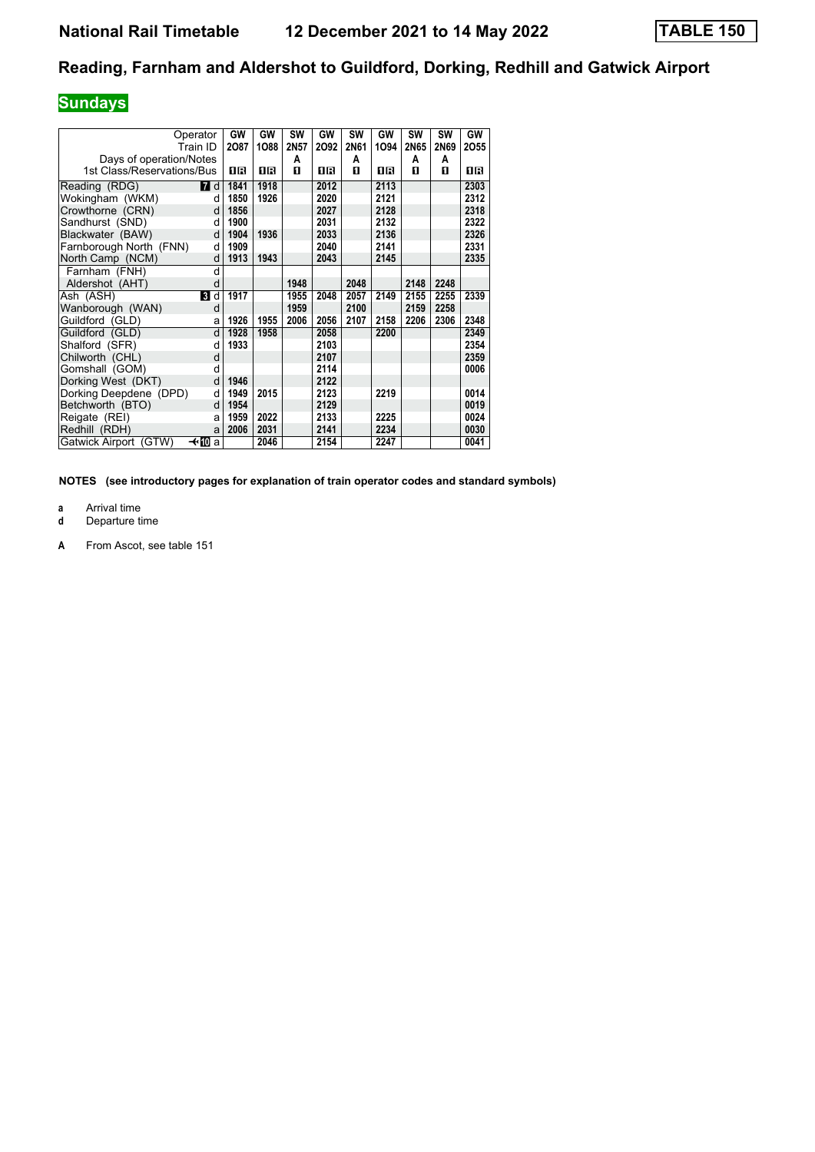## **Sundays**

| Operator<br>Train ID             | GW<br>2087 | GW<br>1088 | SW<br>2N57 | GW<br>2092 | <b>SW</b><br>2N61 | GW<br>1094 | <b>SW</b><br>2N65 | <b>SW</b><br><b>2N69</b> | GW<br>2055 |
|----------------------------------|------------|------------|------------|------------|-------------------|------------|-------------------|--------------------------|------------|
| Days of operation/Notes          |            |            | Α          |            | Α                 |            | A                 | A                        |            |
| 1st Class/Reservations/Bus       | 1R         | 16         | п          | 1R         | п                 | 1R         | п                 | п                        | 0 B        |
| <b>7</b> d<br>Reading (RDG)      | 1841       | 1918       |            | 2012       |                   | 2113       |                   |                          | 2303       |
| Wokingham (WKM)<br>d             | 1850       | 1926       |            | 2020       |                   | 2121       |                   |                          | 2312       |
| Crowthorne (CRN)<br>d            | 1856       |            |            | 2027       |                   | 2128       |                   |                          | 2318       |
| Sandhurst (SND)<br>d             | 1900       |            |            | 2031       |                   | 2132       |                   |                          | 2322       |
| Blackwater (BAW)<br>d            | 1904       | 1936       |            | 2033       |                   | 2136       |                   |                          | 2326       |
| Farnborough North (FNN)<br>d     | 1909       |            |            | 2040       |                   | 2141       |                   |                          | 2331       |
| North Camp (NCM)<br>d            | 1913       | 1943       |            | 2043       |                   | 2145       |                   |                          | 2335       |
| Farnham (FNH)<br>d               |            |            |            |            |                   |            |                   |                          |            |
| Aldershot (AHT)<br>d             |            |            | 1948       |            | 2048              |            | 2148              | 2248                     |            |
| Ash (ASH)<br><b>3</b> d          | 1917       |            | 1955       | 2048       | 2057              | 2149       | 2155              | 2255                     | 2339       |
| Wanborough (WAN)<br>d            |            |            | 1959       |            | 2100              |            | 2159              | 2258                     |            |
| Guildford (GLD)<br>a             | 1926       | 1955       | 2006       | 2056       | 2107              | 2158       | 2206              | 2306                     | 2348       |
| Guildford (GLD)<br>d             | 1928       | 1958       |            | 2058       |                   | 2200       |                   |                          | 2349       |
| Shalford (SFR)<br>d              | 1933       |            |            | 2103       |                   |            |                   |                          | 2354       |
| Chilworth (CHL)<br>d             |            |            |            | 2107       |                   |            |                   |                          | 2359       |
| Gomshall (GOM)<br>d              |            |            |            | 2114       |                   |            |                   |                          | 0006       |
| Dorking West (DKT)<br>d          | 1946       |            |            | 2122       |                   |            |                   |                          |            |
| Dorking Deepdene (DPD)<br>d      | 1949       | 2015       |            | 2123       |                   | 2219       |                   |                          | 0014       |
| Betchworth (BTO)<br>d            | 1954       |            |            | 2129       |                   |            |                   |                          | 0019       |
| Reigate (REI)                    | 1959<br>a  | 2022       |            | 2133       |                   | 2225       |                   |                          | 0024       |
| Redhill (RDH)<br>a               | 2006       | 2031       |            | 2141       |                   | 2234       |                   |                          | 0030       |
| Gatwick Airport (GTW)<br>—t∗l∐Da |            | 2046       |            | 2154       |                   | 2247       |                   |                          | 0041       |

**NOTES (see introductory pages for explanation of train operator codes and standard symbols)**

**a** Arrival time<br>**d** Departure t

**Departure time** 

**A** From Ascot, see table 151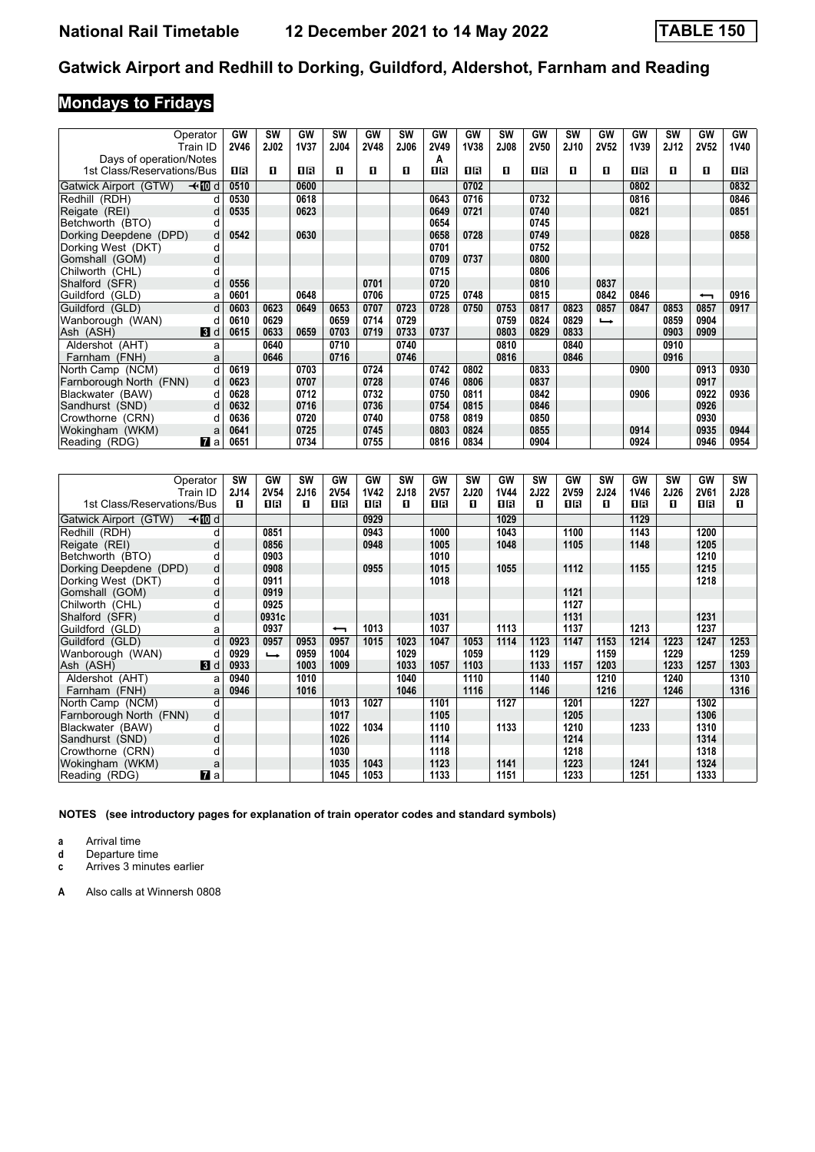# **Mondays to Fridays**

|                            | Operator     | GW   | <b>SW</b>   | GW          | SW   | GW   | <b>SW</b>   | <b>GW</b> | GW   | <b>SW</b> | GW   | <b>SW</b> | GW                       | GW   | <b>SW</b> | GW                       | GW          |
|----------------------------|--------------|------|-------------|-------------|------|------|-------------|-----------|------|-----------|------|-----------|--------------------------|------|-----------|--------------------------|-------------|
|                            | Train ID     | 2V46 | <b>2J02</b> | <b>1V37</b> | 2J04 | 2V48 | <b>2J06</b> | 2V49      | 1V38 | 2J08      | 2V50 | 2J10      | 2V52                     | 1V39 | 2J12      | <b>2V52</b>              | <b>1V40</b> |
| Days of operation/Notes    |              |      |             |             |      |      |             | А         |      |           |      |           |                          |      |           |                          |             |
| 1st Class/Reservations/Bus |              | 1R   | П           | 16          | п    | п    | п           | 1R        | 16   | п         | 1 R  | п         | п                        | 1 R  | п         | п                        | 1 R         |
| Gatwick Airport (GTW)      | –≁MDd        | 0510 |             | 0600        |      |      |             |           | 0702 |           |      |           |                          | 0802 |           |                          | 0832        |
| Redhill (RDH)              |              | 0530 |             | 0618        |      |      |             | 0643      | 0716 |           | 0732 |           |                          | 0816 |           |                          | 0846        |
| Reigate (REI)              | d            | 0535 |             | 0623        |      |      |             | 0649      | 0721 |           | 0740 |           |                          | 0821 |           |                          | 0851        |
| Betchworth (BTO)           | d            |      |             |             |      |      |             | 0654      |      |           | 0745 |           |                          |      |           |                          |             |
| Dorking Deepdene (DPD)     | d            | 0542 |             | 0630        |      |      |             | 0658      | 0728 |           | 0749 |           |                          | 0828 |           |                          | 0858        |
| Dorking West (DKT)         | d            |      |             |             |      |      |             | 0701      |      |           | 0752 |           |                          |      |           |                          |             |
| Gomshall (GOM)             | d            |      |             |             |      |      |             | 0709      | 0737 |           | 0800 |           |                          |      |           |                          |             |
| Chilworth (CHL)            | d            |      |             |             |      |      |             | 0715      |      |           | 0806 |           |                          |      |           |                          |             |
| Shalford (SFR)             | d            | 0556 |             |             |      | 0701 |             | 0720      |      |           | 0810 |           | 0837                     |      |           |                          |             |
| Guildford (GLD)            | a            | 0601 |             | 0648        |      | 0706 |             | 0725      | 0748 |           | 0815 |           | 0842                     | 0846 |           | $\overline{\phantom{0}}$ | 0916        |
| Guildford (GLD)            | $\mathsf{d}$ | 0603 | 0623        | 0649        | 0653 | 0707 | 0723        | 0728      | 0750 | 0753      | 0817 | 0823      | 0857                     | 0847 | 0853      | 0857                     | 0917        |
| Wanborough (WAN)           |              | 0610 | 0629        |             | 0659 | 0714 | 0729        |           |      | 0759      | 0824 | 0829      | $\overline{\phantom{a}}$ |      | 0859      | 0904                     |             |
| Ash (ASH)                  | 3d           | 0615 | 0633        | 0659        | 0703 | 0719 | 0733        | 0737      |      | 0803      | 0829 | 0833      |                          |      | 0903      | 0909                     |             |
| Aldershot (AHT)            | а            |      | 0640        |             | 0710 |      | 0740        |           |      | 0810      |      | 0840      |                          |      | 0910      |                          |             |
| Farnham (FNH)              | a            |      | 0646        |             | 0716 |      | 0746        |           |      | 0816      |      | 0846      |                          |      | 0916      |                          |             |
| North Camp (NCM)           | d            | 0619 |             | 0703        |      | 0724 |             | 0742      | 0802 |           | 0833 |           |                          | 0900 |           | 0913                     | 0930        |
| Farnborough North (FNN)    | d            | 0623 |             | 0707        |      | 0728 |             | 0746      | 0806 |           | 0837 |           |                          |      |           | 0917                     |             |
| Blackwater (BAW)           | d            | 0628 |             | 0712        |      | 0732 |             | 0750      | 0811 |           | 0842 |           |                          | 0906 |           | 0922                     | 0936        |
| Sandhurst (SND)            | d            | 0632 |             | 0716        |      | 0736 |             | 0754      | 0815 |           | 0846 |           |                          |      |           | 0926                     |             |
| Crowthorne (CRN)           | d            | 0636 |             | 0720        |      | 0740 |             | 0758      | 0819 |           | 0850 |           |                          |      |           | 0930                     |             |
| Wokingham (WKM)            | a            | 0641 |             | 0725        |      | 0745 |             | 0803      | 0824 |           | 0855 |           |                          | 0914 |           | 0935                     | 0944        |
| Reading (RDG)              | 77 a         | 0651 |             | 0734        |      | 0755 |             | 0816      | 0834 |           | 0904 |           |                          | 0924 |           | 0946                     | 0954        |

| Operator                   |                | <b>SW</b> | GW                       | <b>SW</b> | GW                       | GW          | SW   | GW          | <b>SW</b>   | GW          | <b>SW</b>   | GW          | <b>SW</b>   | GW   | SW   | GW          | <b>SW</b> |
|----------------------------|----------------|-----------|--------------------------|-----------|--------------------------|-------------|------|-------------|-------------|-------------|-------------|-------------|-------------|------|------|-------------|-----------|
| Train ID                   |                | 2J14      | <b>2V54</b>              | 2J16      | <b>2V54</b>              | <b>1V42</b> | 2J18 | <b>2V57</b> | <b>2J20</b> | <b>1V44</b> | <b>2J22</b> | <b>2V59</b> | <b>2J24</b> | 1V46 | 2J26 | <b>2V61</b> | 2J28      |
| 1st Class/Reservations/Bus |                | п         | 1R                       | п         | 1 R                      | 16          | п    | 16          | п           | 16          | п           | 16          | п           | 16   | п    | 1 R         | п         |
| Gatwick Airport (GTW)      | – t− l d       |           |                          |           |                          | 0929        |      |             |             | 1029        |             |             |             | 1129 |      |             |           |
| Redhill (RDH)              | d              |           | 0851                     |           |                          | 0943        |      | 1000        |             | 1043        |             | 1100        |             | 1143 |      | 1200        |           |
| Reigate (REI)              | d              |           | 0856                     |           |                          | 0948        |      | 1005        |             | 1048        |             | 1105        |             | 1148 |      | 1205        |           |
| Betchworth (BTO)           | d              |           | 0903                     |           |                          |             |      | 1010        |             |             |             |             |             |      |      | 1210        |           |
| Dorking Deepdene (DPD)     | d              |           | 0908                     |           |                          | 0955        |      | 1015        |             | 1055        |             | 1112        |             | 1155 |      | 1215        |           |
| Dorking West (DKT)         | d              |           | 0911                     |           |                          |             |      | 1018        |             |             |             |             |             |      |      | 1218        |           |
| Gomshall (GOM)             | d              |           | 0919                     |           |                          |             |      |             |             |             |             | 1121        |             |      |      |             |           |
| Chilworth (CHL)            | d              |           | 0925                     |           |                          |             |      |             |             |             |             | 1127        |             |      |      |             |           |
| Shalford (SFR)             | d              |           | 0931c                    |           |                          |             |      | 1031        |             |             |             | 1131        |             |      |      | 1231        |           |
| Guildford (GLD)            | a              |           | 0937                     |           | $\overline{\phantom{0}}$ | 1013        |      | 1037        |             | 1113        |             | 1137        |             | 1213 |      | 1237        |           |
| Guildford (GLD)            | d              | 0923      | 0957                     | 0953      | 0957                     | 1015        | 1023 | 1047        | 1053        | 1114        | 1123        | 1147        | 1153        | 1214 | 1223 | 1247        | 1253      |
| Wanborough (WAN)           |                | 0929      | $\overline{\phantom{a}}$ | 0959      | 1004                     |             | 1029 |             | 1059        |             | 1129        |             | 1159        |      | 1229 |             | 1259      |
| Ash (ASH)                  | $\blacksquare$ | 0933      |                          | 1003      | 1009                     |             | 1033 | 1057        | 1103        |             | 1133        | 1157        | 1203        |      | 1233 | 1257        | 1303      |
| Aldershot (AHT)            | a              | 0940      |                          | 1010      |                          |             | 1040 |             | 1110        |             | 1140        |             | 1210        |      | 1240 |             | 1310      |
| Farnham (FNH)              | a              | 0946      |                          | 1016      |                          |             | 1046 |             | 1116        |             | 1146        |             | 1216        |      | 1246 |             | 1316      |
| North Camp (NCM)           | d              |           |                          |           | 1013                     | 1027        |      | 1101        |             | 1127        |             | 1201        |             | 1227 |      | 1302        |           |
| Farnborough North (FNN)    | d              |           |                          |           | 1017                     |             |      | 1105        |             |             |             | 1205        |             |      |      | 1306        |           |
| Blackwater (BAW)           | d              |           |                          |           | 1022                     | 1034        |      | 1110        |             | 1133        |             | 1210        |             | 1233 |      | 1310        |           |
| Sandhurst (SND)            | d              |           |                          |           | 1026                     |             |      | 1114        |             |             |             | 1214        |             |      |      | 1314        |           |
| Crowthorne (CRN)           | d              |           |                          |           | 1030                     |             |      | 1118        |             |             |             | 1218        |             |      |      | 1318        |           |
| Wokingham (WKM)            | a              |           |                          |           | 1035                     | 1043        |      | 1123        |             | 1141        |             | 1223        |             | 1241 |      | 1324        |           |
| Reading (RDG)              | <b>77</b> а    |           |                          |           | 1045                     | 1053        |      | 1133        |             | 1151        |             | 1233        |             | 1251 |      | 1333        |           |

**NOTES (see introductory pages for explanation of train operator codes and standard symbols)**

**a** Arrival time<br>**d** Departure time

**d** Departure time

**c** Arrives 3 minutes earlier

**\$** Also calls at Winnersh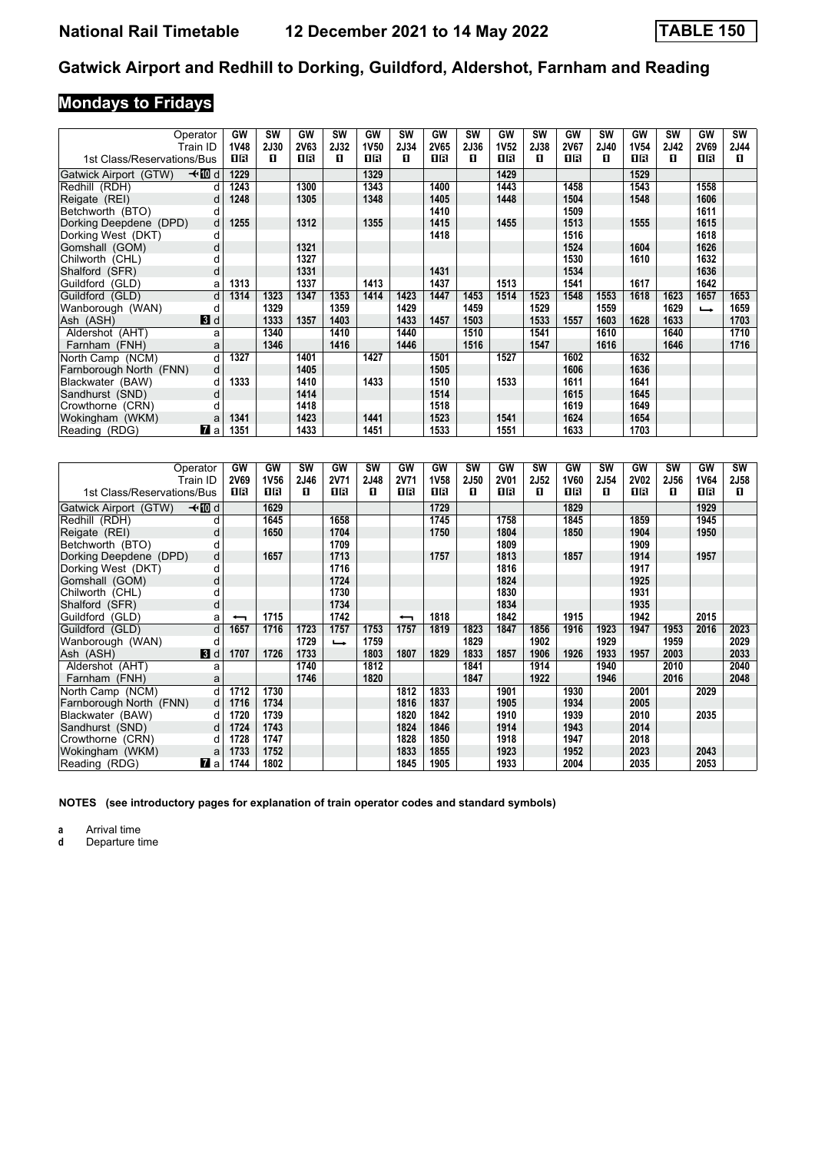# **Mondays to Fridays**

|                            | Operator<br>Train ID | GW<br><b>1V48</b> | <b>SW</b><br><b>2J30</b> | GW<br><b>2V63</b> | <b>SW</b><br>2J32 | GW<br><b>1V50</b> | SW<br>2J34 | GW<br>2V65 | <b>SW</b><br>2J36 | <b>GW</b><br><b>1V52</b> | <b>SW</b><br>2J38 | GW<br>2V67 | <b>SW</b><br><b>2J40</b> | GW<br><b>1V54</b> | <b>SW</b><br>2J42 | GW<br>2V69 | <b>SW</b><br>2J44 |
|----------------------------|----------------------|-------------------|--------------------------|-------------------|-------------------|-------------------|------------|------------|-------------------|--------------------------|-------------------|------------|--------------------------|-------------------|-------------------|------------|-------------------|
| 1st Class/Reservations/Bus |                      | 16                | п                        | 1R                | п                 | 1R                | п          | 0R         | п                 | 16                       | п                 | 1R         | п                        | 1 R               | п                 | 1R         | п                 |
| Gatwick Airport (GTW)      | —t10∃d               | 1229              |                          |                   |                   | 1329              |            |            |                   | 1429                     |                   |            |                          | 1529              |                   |            |                   |
| Redhill (RDH)              | d                    | 1243              |                          | 1300              |                   | 1343              |            | 1400       |                   | 1443                     |                   | 1458       |                          | 1543              |                   | 1558       |                   |
| Reigate (REI)              | d                    | 1248              |                          | 1305              |                   | 1348              |            | 1405       |                   | 1448                     |                   | 1504       |                          | 1548              |                   | 1606       |                   |
| Betchworth (BTO)           | d                    |                   |                          |                   |                   |                   |            | 1410       |                   |                          |                   | 1509       |                          |                   |                   | 1611       |                   |
| Dorking Deepdene (DPD)     | d                    | 1255              |                          | 1312              |                   | 1355              |            | 1415       |                   | 1455                     |                   | 1513       |                          | 1555              |                   | 1615       |                   |
| Dorking West (DKT)         | d                    |                   |                          |                   |                   |                   |            | 1418       |                   |                          |                   | 1516       |                          |                   |                   | 1618       |                   |
| Gomshall (GOM)             | d                    |                   |                          | 1321              |                   |                   |            |            |                   |                          |                   | 1524       |                          | 1604              |                   | 1626       |                   |
| Chilworth (CHL)            | d                    |                   |                          | 1327              |                   |                   |            |            |                   |                          |                   | 1530       |                          | 1610              |                   | 1632       |                   |
| Shalford (SFR)             | d                    |                   |                          | 1331              |                   |                   |            | 1431       |                   |                          |                   | 1534       |                          |                   |                   | 1636       |                   |
| Guildford (GLD)            | a                    | 1313              |                          | 1337              |                   | 1413              |            | 1437       |                   | 1513                     |                   | 1541       |                          | 1617              |                   | 1642       |                   |
| Guildford (GLD)            | d                    | 1314              | 1323                     | 1347              | 1353              | 1414              | 1423       | 1447       | 1453              | 1514                     | 1523              | 1548       | 1553                     | 1618              | 1623              | 1657       | 1653              |
| Wanborough (WAN)           |                      |                   | 1329                     |                   | 1359              |                   | 1429       |            | 1459              |                          | 1529              |            | 1559                     |                   | 1629              | حسا        | 1659              |
| Ash (ASH)                  | 3d                   |                   | 1333                     | 1357              | 1403              |                   | 1433       | 1457       | 1503              |                          | 1533              | 1557       | 1603                     | 1628              | 1633              |            | 1703              |
| Aldershot (AHT)            | a                    |                   | 1340                     |                   | 1410              |                   | 1440       |            | 1510              |                          | 1541              |            | 1610                     |                   | 1640              |            | 1710              |
| Farnham (FNH)              | a                    |                   | 1346                     |                   | 1416              |                   | 1446       |            | 1516              |                          | 1547              |            | 1616                     |                   | 1646              |            | 1716              |
| North Camp (NCM)           | d                    | 1327              |                          | 1401              |                   | 1427              |            | 1501       |                   | 1527                     |                   | 1602       |                          | 1632              |                   |            |                   |
| Farnborough North (FNN)    | d                    |                   |                          | 1405              |                   |                   |            | 1505       |                   |                          |                   | 1606       |                          | 1636              |                   |            |                   |
| Blackwater (BAW)           | d                    | 1333              |                          | 1410              |                   | 1433              |            | 1510       |                   | 1533                     |                   | 1611       |                          | 1641              |                   |            |                   |
| Sandhurst (SND)            | d                    |                   |                          | 1414              |                   |                   |            | 1514       |                   |                          |                   | 1615       |                          | 1645              |                   |            |                   |
| Crowthorne (CRN)           | d                    |                   |                          | 1418              |                   |                   |            | 1518       |                   |                          |                   | 1619       |                          | 1649              |                   |            |                   |
| Wokingham (WKM)            | a                    | 1341              |                          | 1423              |                   | 1441              |            | 1523       |                   | 1541                     |                   | 1624       |                          | 1654              |                   |            |                   |
| Reading (RDG)              | 7 a                  | 1351              |                          | 1433              |                   | 1451              |            | 1533       |                   | 1551                     |                   | 1633       |                          | 1703              |                   |            |                   |

|                            | Operator        | GW   | GW   | <b>SW</b>   | GW            | <b>SW</b>   | GW                       | GW          | <b>SW</b>   | GW          | <b>SW</b>   | GW   | <b>SW</b> | GW          | <b>SW</b>   | GW          | SW   |
|----------------------------|-----------------|------|------|-------------|---------------|-------------|--------------------------|-------------|-------------|-------------|-------------|------|-----------|-------------|-------------|-------------|------|
|                            | Train ID        | 2V69 | 1V56 | <b>2J46</b> | <b>2V71</b>   | <b>2J48</b> | <b>2V71</b>              | <b>1V58</b> | <b>2J50</b> | <b>2V01</b> | <b>2J52</b> | 1V60 | 2J54      | <b>2V02</b> | <b>2J56</b> | <b>1V64</b> | 2J58 |
| 1st Class/Reservations/Bus |                 | 1R   | 1R   | п           | 16            | п           | 1R                       | 1R          | п           | 1R          | п           | 1R   | п         | 16          | п           | 1R          | п    |
| Gatwick Airport (GTW)      | –⊀MDd           |      | 1629 |             |               |             |                          | 1729        |             |             |             | 1829 |           |             |             | 1929        |      |
| Redhill (RDH)              | d               |      | 1645 |             | 1658          |             |                          | 1745        |             | 1758        |             | 1845 |           | 1859        |             | 1945        |      |
| Reigate (REI)              | d               |      | 1650 |             | 1704          |             |                          | 1750        |             | 1804        |             | 1850 |           | 1904        |             | 1950        |      |
| Betchworth (BTO)           | d               |      |      |             | 1709          |             |                          |             |             | 1809        |             |      |           | 1909        |             |             |      |
| Dorking Deepdene (DPD)     | d               |      | 1657 |             | 1713          |             |                          | 1757        |             | 1813        |             | 1857 |           | 1914        |             | 1957        |      |
| Dorking West (DKT)         | d               |      |      |             | 1716          |             |                          |             |             | 1816        |             |      |           | 1917        |             |             |      |
| Gomshall (GOM)             | d               |      |      |             | 1724          |             |                          |             |             | 1824        |             |      |           | 1925        |             |             |      |
| Chilworth (CHL)            | d               |      |      |             | 1730          |             |                          |             |             | 1830        |             |      |           | 1931        |             |             |      |
| Shalford (SFR)             | d               |      |      |             | 1734          |             |                          |             |             | 1834        |             |      |           | 1935        |             |             |      |
| Guildford (GLD)            | a               | ↽    | 1715 |             | 1742          |             | $\overline{\phantom{0}}$ | 1818        |             | 1842        |             | 1915 |           | 1942        |             | 2015        |      |
| Guildford (GLD)            | d               | 1657 | 1716 | 1723        | 1757          | 1753        | 1757                     | 1819        | 1823        | 1847        | 1856        | 1916 | 1923      | 1947        | 1953        | 2016        | 2023 |
| Wanborough (WAN)           | п               |      |      | 1729        | $\rightarrow$ | 1759        |                          |             | 1829        |             | 1902        |      | 1929      |             | 1959        |             | 2029 |
| Ash (ASH)                  | 3d              | 1707 | 1726 | 1733        |               | 1803        | 1807                     | 1829        | 1833        | 1857        | 1906        | 1926 | 1933      | 1957        | 2003        |             | 2033 |
| Aldershot (AHT)            | a               |      |      | 1740        |               | 1812        |                          |             | 1841        |             | 1914        |      | 1940      |             | 2010        |             | 2040 |
| Farnham (FNH)              | a               |      |      | 1746        |               | 1820        |                          |             | 1847        |             | 1922        |      | 1946      |             | 2016        |             | 2048 |
| North Camp (NCM)           | d               | 1712 | 1730 |             |               |             | 1812                     | 1833        |             | 1901        |             | 1930 |           | 2001        |             | 2029        |      |
| Farnborough North (FNN)    | d               | 1716 | 1734 |             |               |             | 1816                     | 1837        |             | 1905        |             | 1934 |           | 2005        |             |             |      |
| Blackwater (BAW)           | d               | 1720 | 1739 |             |               |             | 1820                     | 1842        |             | 1910        |             | 1939 |           | 2010        |             | 2035        |      |
| Sandhurst (SND)            | d               | 1724 | 1743 |             |               |             | 1824                     | 1846        |             | 1914        |             | 1943 |           | 2014        |             |             |      |
| Crowthorne (CRN)           | d               | 1728 | 1747 |             |               |             | 1828                     | 1850        |             | 1918        |             | 1947 |           | 2018        |             |             |      |
| Wokingham (WKM)            | a               | 1733 | 1752 |             |               |             | 1833                     | 1855        |             | 1923        |             | 1952 |           | 2023        |             | 2043        |      |
| Reading (RDG)              | $\mathbf{Z}$ al | 1744 | 1802 |             |               |             | 1845                     | 1905        |             | 1933        |             | 2004 |           | 2035        |             | 2053        |      |

**NOTES (see introductory pages for explanation of train operator codes and standard symbols)**

**a** Arrival time<br>**d** Departure t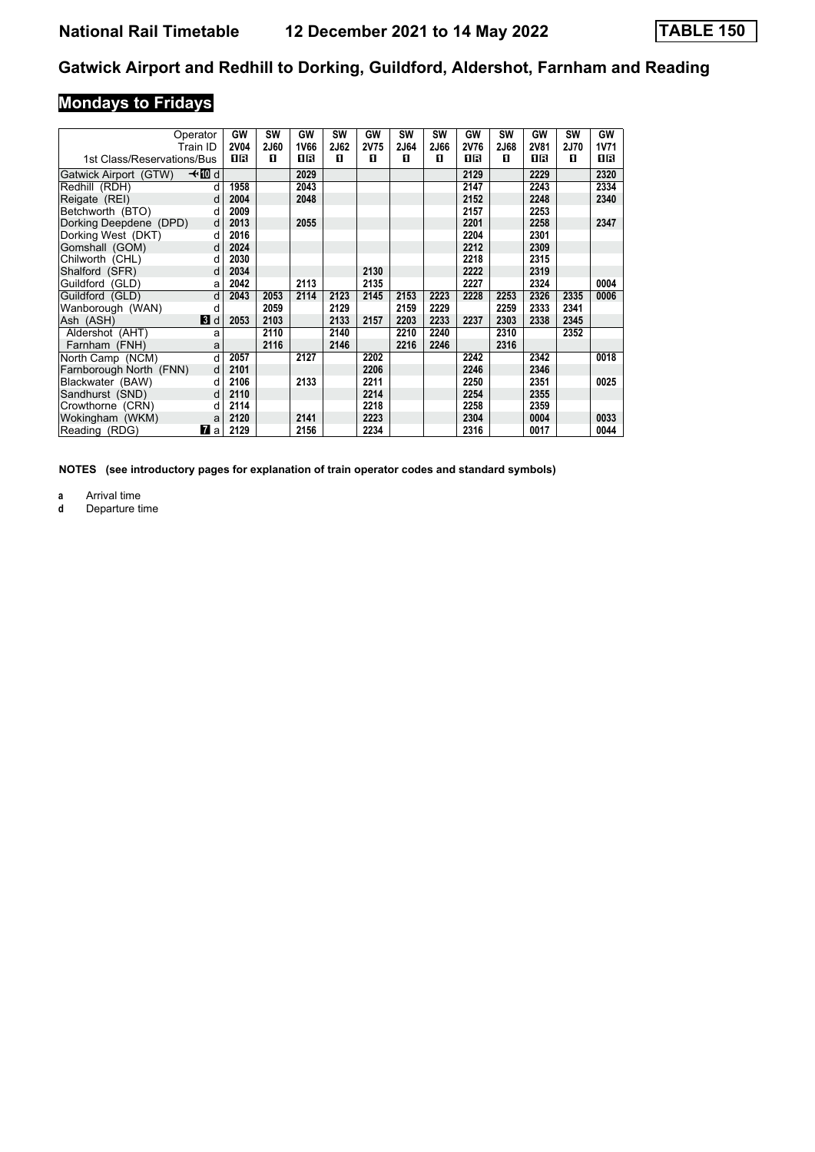# **Mondays to Fridays**

|                            | Operator       | GW          | SW          | GW   | <b>SW</b>   | GW   | <b>SW</b> | SW   | GW          | <b>SW</b> | GW          | <b>SW</b>   | GW   |
|----------------------------|----------------|-------------|-------------|------|-------------|------|-----------|------|-------------|-----------|-------------|-------------|------|
|                            | Train ID       | <b>2V04</b> | <b>2J60</b> | 1V66 | <b>2J62</b> | 2V75 | 2J64      | 2J66 | <b>2V76</b> | 2J68      | <b>2V81</b> | <b>2J70</b> | 1V71 |
| 1st Class/Reservations/Bus |                | 1R          | п           | ПR   | п           | п    | 0         | п    | 1R          | п         | 1R          | п           | 1 R  |
| Gatwick Airport (GTW)      | –≁MDd          |             |             | 2029 |             |      |           |      | 2129        |           | 2229        |             | 2320 |
| Redhill (RDH)              | d              | 1958        |             | 2043 |             |      |           |      | 2147        |           | 2243        |             | 2334 |
| Reigate (REI)              | d              | 2004        |             | 2048 |             |      |           |      | 2152        |           | 2248        |             | 2340 |
| Betchworth (BTO)           | d              | 2009        |             |      |             |      |           |      | 2157        |           | 2253        |             |      |
| Dorking Deepdene (DPD)     | d              | 2013        |             | 2055 |             |      |           |      | 2201        |           | 2258        |             | 2347 |
| Dorking West (DKT)         | d              | 2016        |             |      |             |      |           |      | 2204        |           | 2301        |             |      |
| Gomshall (GOM)             | d              | 2024        |             |      |             |      |           |      | 2212        |           | 2309        |             |      |
| Chilworth (CHL)            | d              | 2030        |             |      |             |      |           |      | 2218        |           | 2315        |             |      |
| Shalford (SFR)             | d              | 2034        |             |      |             | 2130 |           |      | 2222        |           | 2319        |             |      |
| Guildford (GLD)            | a              | 2042        |             | 2113 |             | 2135 |           |      | 2227        |           | 2324        |             | 0004 |
| Guildford (GLD)            | d              | 2043        | 2053        | 2114 | 2123        | 2145 | 2153      | 2223 | 2228        | 2253      | 2326        | 2335        | 0006 |
| Wanborough (WAN)           | d              |             | 2059        |      | 2129        |      | 2159      | 2229 |             | 2259      | 2333        | 2341        |      |
| Ash (ASH)                  | $\mathbf{B}$ d | 2053        | 2103        |      | 2133        | 2157 | 2203      | 2233 | 2237        | 2303      | 2338        | 2345        |      |
| Aldershot (AHT)            | a              |             | 2110        |      | 2140        |      | 2210      | 2240 |             | 2310      |             | 2352        |      |
| Farnham (FNH)              | a              |             | 2116        |      | 2146        |      | 2216      | 2246 |             | 2316      |             |             |      |
| North Camp (NCM)           | d              | 2057        |             | 2127 |             | 2202 |           |      | 2242        |           | 2342        |             | 0018 |
| Farnborough North (FNN)    | d              | 2101        |             |      |             | 2206 |           |      | 2246        |           | 2346        |             |      |
| Blackwater (BAW)           | d              | 2106        |             | 2133 |             | 2211 |           |      | 2250        |           | 2351        |             | 0025 |
| Sandhurst (SND)            | d              | 2110        |             |      |             | 2214 |           |      | 2254        |           | 2355        |             |      |
| Crowthorne (CRN)           | d              | 2114        |             |      |             | 2218 |           |      | 2258        |           | 2359        |             |      |
| Wokingham (WKM)            | a              | 2120        |             | 2141 |             | 2223 |           |      | 2304        |           | 0004        |             | 0033 |
| Reading (RDG)              | <b>7</b> a     | 2129        |             | 2156 |             | 2234 |           |      | 2316        |           | 0017        |             | 0044 |

**NOTES (see introductory pages for explanation of train operator codes and standard symbols)**

**a** Arrival time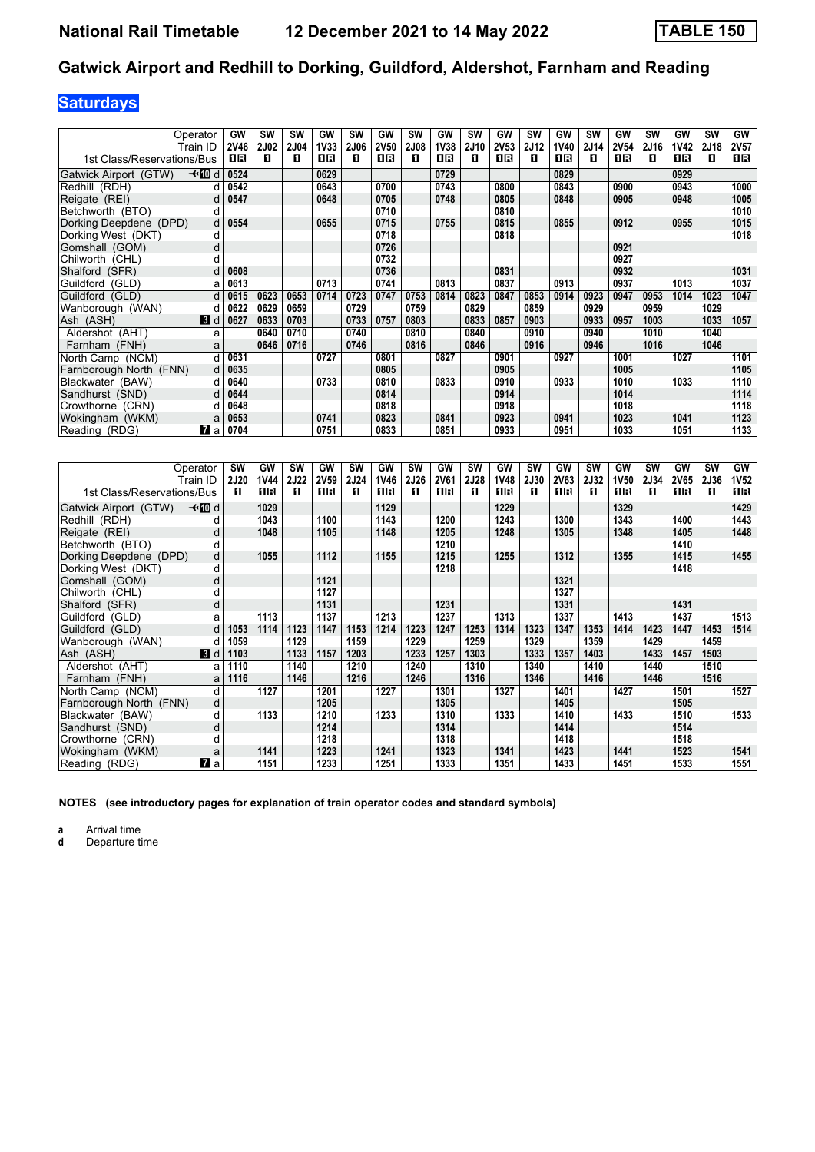# **Saturdays**

|                            | Operator<br>Train ID | GW<br><b>2V46</b> | SW<br><b>2J02</b> | <b>SW</b><br><b>2J04</b> | GW<br>1V33 | <b>SW</b><br><b>2J06</b> | <b>GW</b><br><b>2V50</b> | <b>SW</b><br><b>2J08</b> | GW<br><b>1V38</b> | <b>SW</b><br>2J10 | GW<br>2V53 | <b>SW</b><br><b>2J12</b> | GW<br>1V40 | SW<br>2J14 | <b>GW</b><br><b>2V54</b> | <b>SW</b><br>2J16 | GW<br><b>1V42</b> | <b>SW</b><br>2J18 | GW<br><b>2V57</b> |
|----------------------------|----------------------|-------------------|-------------------|--------------------------|------------|--------------------------|--------------------------|--------------------------|-------------------|-------------------|------------|--------------------------|------------|------------|--------------------------|-------------------|-------------------|-------------------|-------------------|
| 1st Class/Reservations/Bus |                      | 16                | п                 | П                        | 0B         | п                        | 16                       | П                        | 0 R               | п                 | 1 R        | п                        | 0 R        | п          | 1 R                      | п                 | 16                | п                 | 0 B               |
| Gatwick Airport (GTW)      | —tnDid               | 0524              |                   |                          | 0629       |                          |                          |                          | 0729              |                   |            |                          | 0829       |            |                          |                   | 0929              |                   |                   |
| Redhill (RDH)              |                      | 0542              |                   |                          | 0643       |                          | 0700                     |                          | 0743              |                   | 0800       |                          | 0843       |            | 0900                     |                   | 0943              |                   | 1000              |
| Reigate (REI)              | d                    | 0547              |                   |                          | 0648       |                          | 0705                     |                          | 0748              |                   | 0805       |                          | 0848       |            | 0905                     |                   | 0948              |                   | 1005              |
| Betchworth (BTO)           | d                    |                   |                   |                          |            |                          | 0710                     |                          |                   |                   | 0810       |                          |            |            |                          |                   |                   |                   | 1010              |
| Dorking Deepdene (DPD)     | d                    | 0554              |                   |                          | 0655       |                          | 0715                     |                          | 0755              |                   | 0815       |                          | 0855       |            | 0912                     |                   | 0955              |                   | 1015              |
| Dorking West (DKT)         | d                    |                   |                   |                          |            |                          | 0718                     |                          |                   |                   | 0818       |                          |            |            |                          |                   |                   |                   | 1018              |
| Gomshall (GOM)             | d                    |                   |                   |                          |            |                          | 0726                     |                          |                   |                   |            |                          |            |            | 0921                     |                   |                   |                   |                   |
| Chilworth (CHL)            | d                    |                   |                   |                          |            |                          | 0732                     |                          |                   |                   |            |                          |            |            | 0927                     |                   |                   |                   |                   |
| Shalford (SFR)             | d                    | 0608              |                   |                          |            |                          | 0736                     |                          |                   |                   | 0831       |                          |            |            | 0932                     |                   |                   |                   | 1031              |
| Guildford (GLD)            | a                    | 0613              |                   |                          | 0713       |                          | 0741                     |                          | 0813              |                   | 0837       |                          | 0913       |            | 0937                     |                   | 1013              |                   | 1037              |
| Guildford (GLD)            | d                    | 0615              | 0623              | 0653                     | 0714       | 0723                     | 0747                     | 0753                     | 0814              | 0823              | 0847       | 0853                     | 0914       | 0923       | 0947                     | 0953              | 1014              | 1023              | 1047              |
| Wanborough (WAN)           | d                    | 0622              | 0629              | 0659                     |            | 0729                     |                          | 0759                     |                   | 0829              |            | 0859                     |            | 0929       |                          | 0959              |                   | 1029              |                   |
| Ash (ASH)                  | $\blacksquare$       | 0627              | 0633              | 0703                     |            | 0733                     | 0757                     | 0803                     |                   | 0833              | 0857       | 0903                     |            | 0933       | 0957                     | 1003              |                   | 1033              | 1057              |
| Aldershot (AHT)            | a                    |                   | 0640              | 0710                     |            | 0740                     |                          | 0810                     |                   | 0840              |            | 0910                     |            | 0940       |                          | 1010              |                   | 1040              |                   |
| Farnham (FNH)              | a                    |                   | 0646              | 0716                     |            | 0746                     |                          | 0816                     |                   | 0846              |            | 0916                     |            | 0946       |                          | 1016              |                   | 1046              |                   |
| North Camp (NCM)           | q                    | 0631              |                   |                          | 0727       |                          | 0801                     |                          | 0827              |                   | 0901       |                          | 0927       |            | 1001                     |                   | 1027              |                   | 1101              |
| Farnborough North (FNN)    | d                    | 0635              |                   |                          |            |                          | 0805                     |                          |                   |                   | 0905       |                          |            |            | 1005                     |                   |                   |                   | 1105              |
| Blackwater (BAW)           | d                    | 0640              |                   |                          | 0733       |                          | 0810                     |                          | 0833              |                   | 0910       |                          | 0933       |            | 1010                     |                   | 1033              |                   | 1110              |
| Sandhurst (SND)            | d                    | 0644              |                   |                          |            |                          | 0814                     |                          |                   |                   | 0914       |                          |            |            | 1014                     |                   |                   |                   | 1114              |
| Crowthorne (CRN)           | d                    | 0648              |                   |                          |            |                          | 0818                     |                          |                   |                   | 0918       |                          |            |            | 1018                     |                   |                   |                   | 1118              |
| Wokingham (WKM)            | a                    | 0653              |                   |                          | 0741       |                          | 0823                     |                          | 0841              |                   | 0923       |                          | 0941       |            | 1023                     |                   | 1041              |                   | 1123              |
| Reading (RDG)              | <b>7</b> a           | 0704              |                   |                          | 0751       |                          | 0833                     |                          | 0851              |                   | 0933       |                          | 0951       |            | 1033                     |                   | 1051              |                   | 1133              |

|                            | Operator       | SW          | GW          | SW          | GW          | <b>SW</b>   | GW   | <b>SW</b>   | GW          | SW          | GW          | <b>SW</b>   | GW          | SW          | GW          | <b>SW</b> | GW          | <b>SW</b> | GW          |
|----------------------------|----------------|-------------|-------------|-------------|-------------|-------------|------|-------------|-------------|-------------|-------------|-------------|-------------|-------------|-------------|-----------|-------------|-----------|-------------|
|                            | Train ID       | <b>2J20</b> | <b>1V44</b> | <b>2J22</b> | <b>2V59</b> | <b>2J24</b> | 1V46 | <b>2J26</b> | <b>2V61</b> | <b>2J28</b> | <b>1V48</b> | <b>2J30</b> | <b>2V63</b> | <b>2J32</b> | <b>1V50</b> | 2J34      | <b>2V65</b> | 2J36      | <b>1V52</b> |
| 1st Class/Reservations/Bus |                | п           | 1 R         | п           | 1R          | п           | 1R   | п           | 1 R         | п           | 1R          | п           | 1 R         | п           | 1 R         | п         | 1R          | п         | 1 R         |
| Gatwick Airport (GTW)      | –≁10d          |             | 1029        |             |             |             | 1129 |             |             |             | 1229        |             |             |             | 1329        |           |             |           | 1429        |
| Redhill (RDH)              | d              |             | 1043        |             | 1100        |             | 1143 |             | 1200        |             | 1243        |             | 1300        |             | 1343        |           | 1400        |           | 1443        |
| Reigate (REI)              | d              |             | 1048        |             | 1105        |             | 1148 |             | 1205        |             | 1248        |             | 1305        |             | 1348        |           | 1405        |           | 1448        |
| Betchworth (BTO)           |                |             |             |             |             |             |      |             | 1210        |             |             |             |             |             |             |           | 1410        |           |             |
| Dorking Deepdene (DPD)     | d              |             | 1055        |             | 1112        |             | 1155 |             | 1215        |             | 1255        |             | 1312        |             | 1355        |           | 1415        |           | 1455        |
| Dorking West (DKT)         | d              |             |             |             |             |             |      |             | 1218        |             |             |             |             |             |             |           | 1418        |           |             |
| Gomshall (GOM)             | d              |             |             |             | 1121        |             |      |             |             |             |             |             | 1321        |             |             |           |             |           |             |
| Chilworth (CHL)            |                |             |             |             | 1127        |             |      |             |             |             |             |             | 1327        |             |             |           |             |           |             |
| Shalford (SFR)             | d              |             |             |             | 1131        |             |      |             | 1231        |             |             |             | 1331        |             |             |           | 1431        |           |             |
| Guildford (GLD)            | a              |             | 1113        |             | 1137        |             | 1213 |             | 1237        |             | 1313        |             | 1337        |             | 1413        |           | 1437        |           | 1513        |
| Guildford (GLD)            | d              | 1053        | 1114        | 1123        | 1147        | 1153        | 1214 | 1223        | 1247        | 1253        | 1314        | 1323        | 1347        | 1353        | 1414        | 1423      | 1447        | 1453      | 1514        |
| Wanborough (WAN)           |                | 1059        |             | 1129        |             | 1159        |      | 1229        |             | 1259        |             | 1329        |             | 1359        |             | 1429      |             | 1459      |             |
| Ash (ASH)                  | <b>3</b> d     | 1103        |             | 1133        | 1157        | 1203        |      | 1233        | 1257        | 1303        |             | 1333        | 1357        | 1403        |             | 1433      | 1457        | 1503      |             |
| Aldershot (AHT)            | a              | 1110        |             | 1140        |             | 1210        |      | 1240        |             | 1310        |             | 1340        |             | 1410        |             | 1440      |             | 1510      |             |
| Farnham (FNH)              | a              | 1116        |             | 1146        |             | 1216        |      | 1246        |             | 1316        |             | 1346        |             | 1416        |             | 1446      |             | 1516      |             |
| North Camp (NCM)           | d              |             | 1127        |             | 1201        |             | 1227 |             | 1301        |             | 1327        |             | 1401        |             | 1427        |           | 1501        |           | 1527        |
| Farnborough North (FNN)    | d              |             |             |             | 1205        |             |      |             | 1305        |             |             |             | 1405        |             |             |           | 1505        |           |             |
| Blackwater (BAW)           | d              |             | 1133        |             | 1210        |             | 1233 |             | 1310        |             | 1333        |             | 1410        |             | 1433        |           | 1510        |           | 1533        |
| Sandhurst (SND)            | d              |             |             |             | 1214        |             |      |             | 1314        |             |             |             | 1414        |             |             |           | 1514        |           |             |
| Crowthorne (CRN)           |                |             |             |             | 1218        |             |      |             | 1318        |             |             |             | 1418        |             |             |           | 1518        |           |             |
| Wokingham (WKM)            | a              |             | 1141        |             | 1223        |             | 1241 |             | 1323        |             | 1341        |             | 1423        |             | 1441        |           | 1523        |           | 1541        |
| Reading (RDG)              | $\mathbf{z}$ a |             | 1151        |             | 1233        |             | 1251 |             | 1333        |             | 1351        |             | 1433        |             | 1451        |           | 1533        |           | 1551        |

**NOTES (see introductory pages for explanation of train operator codes and standard symbols)**

**a** Arrival time<br>**d** Departure t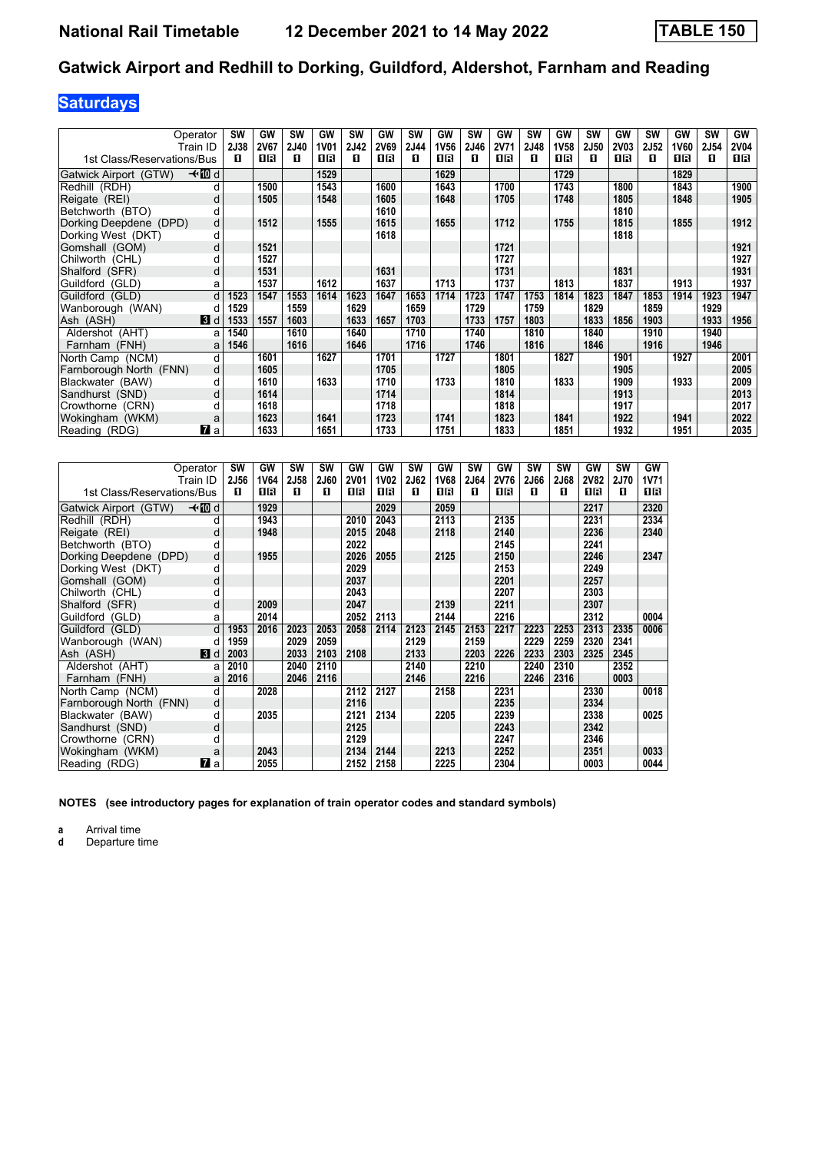# **Saturdays**

| Operator<br>Train ID       |                | <b>SW</b><br>2J38 | GW<br>2V67 | <b>SW</b><br>2J40 | GW<br>1V01 | SW<br>2J42 | GW<br><b>2V69</b> | <b>SW</b><br>2J44 | GW<br><b>1V56</b> | <b>SW</b><br><b>2J46</b> | GW<br><b>2V71</b> | <b>SW</b><br>2J48 | GW<br><b>1V58</b> | <b>SW</b><br>2J50 | GW<br><b>2V03</b> | <b>SW</b><br><b>2J52</b> | GW<br>1V60 | <b>SW</b><br>2J54 | GW<br><b>2V04</b> |
|----------------------------|----------------|-------------------|------------|-------------------|------------|------------|-------------------|-------------------|-------------------|--------------------------|-------------------|-------------------|-------------------|-------------------|-------------------|--------------------------|------------|-------------------|-------------------|
| 1st Class/Reservations/Bus |                | п                 | 1 R        | п                 | 16         | п          | 0 B               | п                 | 0 B               | п                        | OB                | п                 | 0 B               | п                 | 1 R               | п                        | 16         | п                 | 1 R               |
| Gatwick Airport (GTW)      | –≁10d          |                   |            |                   | 1529       |            |                   |                   | 1629              |                          |                   |                   | 1729              |                   |                   |                          | 1829       |                   |                   |
| Redhill (RDH)              | d              |                   | 1500       |                   | 1543       |            | 1600              |                   | 1643              |                          | 1700              |                   | 1743              |                   | 1800              |                          | 1843       |                   | 1900              |
| Reigate (REI)              | d              |                   | 1505       |                   | 1548       |            | 1605              |                   | 1648              |                          | 1705              |                   | 1748              |                   | 1805              |                          | 1848       |                   | 1905              |
| Betchworth (BTO)           | d              |                   |            |                   |            |            | 1610              |                   |                   |                          |                   |                   |                   |                   | 1810              |                          |            |                   |                   |
| Dorking Deepdene (DPD)     | d              |                   | 1512       |                   | 1555       |            | 1615              |                   | 1655              |                          | 1712              |                   | 1755              |                   | 1815              |                          | 1855       |                   | 1912              |
| Dorking West (DKT)         | d              |                   |            |                   |            |            | 1618              |                   |                   |                          |                   |                   |                   |                   | 1818              |                          |            |                   |                   |
| Gomshall (GOM)             | d              |                   | 1521       |                   |            |            |                   |                   |                   |                          | 1721              |                   |                   |                   |                   |                          |            |                   | 1921              |
| Chilworth (CHL)            | d              |                   | 1527       |                   |            |            |                   |                   |                   |                          | 1727              |                   |                   |                   |                   |                          |            |                   | 1927              |
| Shalford (SFR)             | d              |                   | 1531       |                   |            |            | 1631              |                   |                   |                          | 1731              |                   |                   |                   | 1831              |                          |            |                   | 1931              |
| Guildford (GLD)            | a              |                   | 1537       |                   | 1612       |            | 1637              |                   | 1713              |                          | 1737              |                   | 1813              |                   | 1837              |                          | 1913       |                   | 1937              |
| Guildford (GLD)            | d              | 1523              | 1547       | 1553              | 1614       | 1623       | 1647              | 1653              | 1714              | 1723                     | 1747              | 1753              | 1814              | 1823              | 1847              | 1853                     | 1914       | 1923              | 1947              |
| Wanborough (WAN)           | d              | 1529              |            | 1559              |            | 1629       |                   | 1659              |                   | 1729                     |                   | 1759              |                   | 1829              |                   | 1859                     |            | 1929              |                   |
| Ash (ASH)                  | $\mathbf{3}$ d | 1533              | 1557       | 1603              |            | 1633       | 1657              | 1703              |                   | 1733                     | 1757              | 1803              |                   | 1833              | 1856              | 1903                     |            | 1933              | 1956              |
| Aldershot (AHT)            | a              | 1540              |            | 1610              |            | 1640       |                   | 1710              |                   | 1740                     |                   | 1810              |                   | 1840              |                   | 1910                     |            | 1940              |                   |
| Farnham (FNH)              | a              | 1546              |            | 1616              |            | 1646       |                   | 1716              |                   | 1746                     |                   | 1816              |                   | 1846              |                   | 1916                     |            | 1946              |                   |
| North Camp (NCM)           | d              |                   | 1601       |                   | 1627       |            | 1701              |                   | 1727              |                          | 1801              |                   | 1827              |                   | 1901              |                          | 1927       |                   | 2001              |
| Farnborough North (FNN)    | d              |                   | 1605       |                   |            |            | 1705              |                   |                   |                          | 1805              |                   |                   |                   | 1905              |                          |            |                   | 2005              |
| Blackwater (BAW)           | d              |                   | 1610       |                   | 1633       |            | 1710              |                   | 1733              |                          | 1810              |                   | 1833              |                   | 1909              |                          | 1933       |                   | 2009              |
| Sandhurst (SND)            | d              |                   | 1614       |                   |            |            | 1714              |                   |                   |                          | 1814              |                   |                   |                   | 1913              |                          |            |                   | 2013              |
| Crowthorne (CRN)           | d              |                   | 1618       |                   |            |            | 1718              |                   |                   |                          | 1818              |                   |                   |                   | 1917              |                          |            |                   | 2017              |
| Wokingham (WKM)            | a              |                   | 1623       |                   | 1641       |            | 1723              |                   | 1741              |                          | 1823              |                   | 1841              |                   | 1922              |                          | 1941       |                   | 2022              |
| Reading (RDG)              | 7 a            |                   | 1633       |                   | 1651       |            | 1733              |                   | 1751              |                          | 1833              |                   | 1851              |                   | 1932              |                          | 1951       |                   | 2035              |

| Operator                   | Train ID | SW<br>2J56 | GW<br>1V64 | <b>SW</b><br>2J58 | <b>SW</b><br>2J60 | GW<br><b>2V01</b> | GW<br><b>1V02</b> | <b>SW</b><br>2J62 | GW<br><b>1V68</b> | <b>SW</b><br>2J64 | GW<br><b>2V76</b> | <b>SW</b><br>2J66 | SW<br>2J68 | GW<br><b>2V82</b> | <b>SW</b><br><b>2J70</b> | GW<br><b>1V71</b> |
|----------------------------|----------|------------|------------|-------------------|-------------------|-------------------|-------------------|-------------------|-------------------|-------------------|-------------------|-------------------|------------|-------------------|--------------------------|-------------------|
| 1st Class/Reservations/Bus |          | п          | 0 B        | п                 | п                 | 1 R               | 1 R               | п                 | 0 B               | п                 | 0 B               | п                 | п          | 16                | п                        | 18                |
| Gatwick Airport (GTW)      | —tnDid   |            | 1929       |                   |                   |                   | 2029              |                   | 2059              |                   |                   |                   |            | 2217              |                          | 2320              |
| Redhill (RDH)              | d        |            | 1943       |                   |                   | 2010              | 2043              |                   | 2113              |                   | 2135              |                   |            | 2231              |                          | 2334              |
| Reigate (REI)              | d        |            | 1948       |                   |                   | 2015              | 2048              |                   | 2118              |                   | 2140              |                   |            | 2236              |                          | 2340              |
| Betchworth (BTO)           | d        |            |            |                   |                   | 2022              |                   |                   |                   |                   | 2145              |                   |            | 2241              |                          |                   |
| Dorking Deepdene (DPD)     | d        |            | 1955       |                   |                   | 2026              | 2055              |                   | 2125              |                   | 2150              |                   |            | 2246              |                          | 2347              |
| Dorking West (DKT)         | d        |            |            |                   |                   | 2029              |                   |                   |                   |                   | 2153              |                   |            | 2249              |                          |                   |
| Gomshall (GOM)             | d        |            |            |                   |                   | 2037              |                   |                   |                   |                   | 2201              |                   |            | 2257              |                          |                   |
| Chilworth (CHL)            | d        |            |            |                   |                   | 2043              |                   |                   |                   |                   | 2207              |                   |            | 2303              |                          |                   |
| Shalford (SFR)             | d        |            | 2009       |                   |                   | 2047              |                   |                   | 2139              |                   | 2211              |                   |            | 2307              |                          |                   |
| Guildford (GLD)            | a        |            | 2014       |                   |                   | 2052              | 2113              |                   | 2144              |                   | 2216              |                   |            | 2312              |                          | 0004              |
| Guildford (GLD)            | d        | 1953       | 2016       | 2023              | 2053              | 2058              | 2114              | 2123              | 2145              | 2153              | 2217              | 2223              | 2253       | 2313              | 2335                     | 0006              |
| Wanborough (WAN)           | d        | 1959       |            | 2029              | 2059              |                   |                   | 2129              |                   | 2159              |                   | 2229              | 2259       | 2320              | 2341                     |                   |
| Ash (ASH)                  | 3d       | 2003       |            | 2033              | 2103              | 2108              |                   | 2133              |                   | 2203              | 2226              | 2233              | 2303       | 2325              | 2345                     |                   |
| Aldershot (AHT)            | a        | 2010       |            | 2040              | 2110              |                   |                   | 2140              |                   | 2210              |                   | 2240              | 2310       |                   | 2352                     |                   |
| Farnham (FNH)              | a        | 2016       |            | 2046              | 2116              |                   |                   | 2146              |                   | 2216              |                   | 2246              | 2316       |                   | 0003                     |                   |
| North Camp (NCM)           | d        |            | 2028       |                   |                   | 2112              | 2127              |                   | 2158              |                   | 2231              |                   |            | 2330              |                          | 0018              |
| Farnborough North (FNN)    | d        |            |            |                   |                   | 2116              |                   |                   |                   |                   | 2235              |                   |            | 2334              |                          |                   |
| Blackwater (BAW)           | d        |            | 2035       |                   |                   | 2121              | 2134              |                   | 2205              |                   | 2239              |                   |            | 2338              |                          | 0025              |
| Sandhurst (SND)            | d        |            |            |                   |                   | 2125              |                   |                   |                   |                   | 2243              |                   |            | 2342              |                          |                   |
| Crowthorne (CRN)           | d        |            |            |                   |                   | 2129              |                   |                   |                   |                   | 2247              |                   |            | 2346              |                          |                   |
| Wokingham (WKM)            | a        |            | 2043       |                   |                   | 2134              | 2144              |                   | 2213              |                   | 2252              |                   |            | 2351              |                          | 0033              |
| Reading (RDG)              | 7<br>a   |            | 2055       |                   |                   | 2152              | 2158              |                   | 2225              |                   | 2304              |                   |            | 0003              |                          | 0044              |

**NOTES (see introductory pages for explanation of train operator codes and standard symbols)**

**a** Arrival time<br>**d** Departure t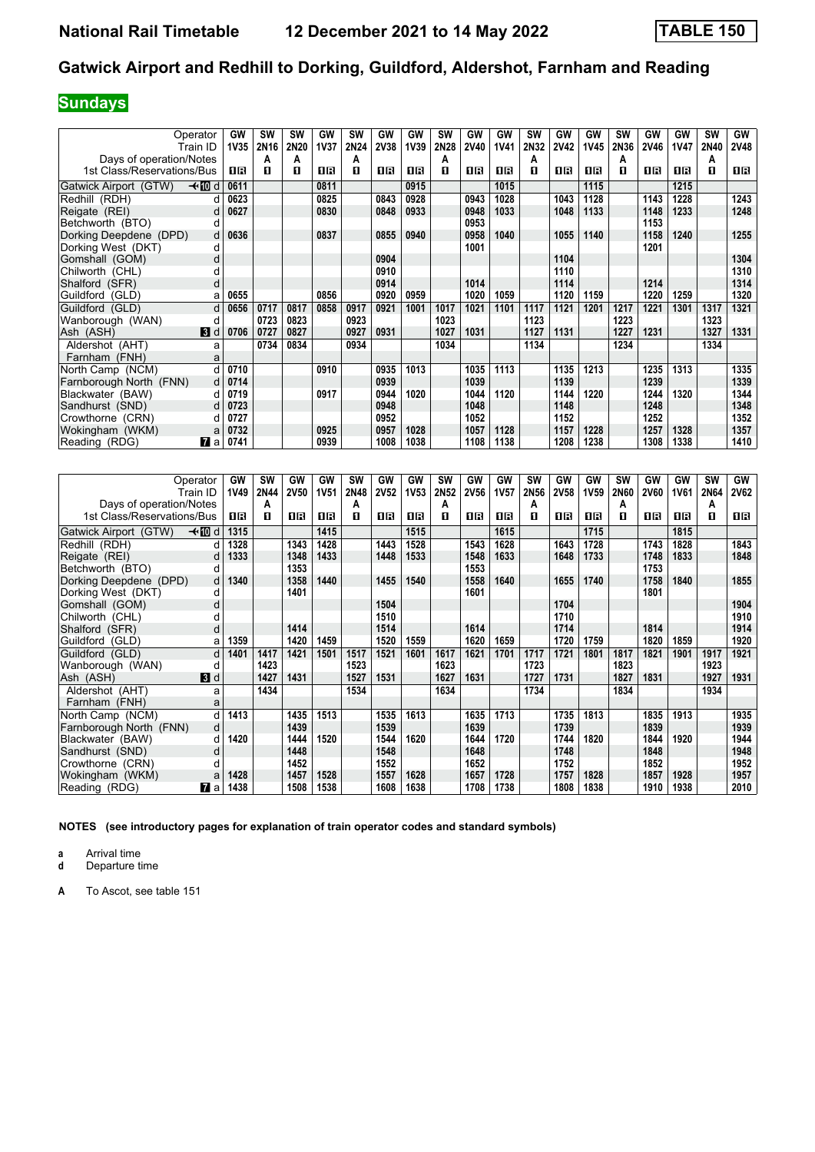## **Sundays**

|                            | Operator       | GW          | SW   | <b>SW</b> | GW          | <b>SW</b> | GW   | GW          | SW   | GW          | GW          | <b>SW</b> | GW          | GW          | SW   | GW          | GW          | <b>SW</b> | GW          |
|----------------------------|----------------|-------------|------|-----------|-------------|-----------|------|-------------|------|-------------|-------------|-----------|-------------|-------------|------|-------------|-------------|-----------|-------------|
|                            | Train ID       | <b>1V35</b> | 2N16 | 2N20      | <b>1V37</b> | 2N24      | 2V38 | <b>1V39</b> | 2N28 | <b>2V40</b> | <b>1V41</b> | 2N32      | <b>2V42</b> | <b>1V45</b> | 2N36 | <b>2V46</b> | <b>1V47</b> | 2N40      | <b>2V48</b> |
| Days of operation/Notes    |                |             | A    | А         |             | A         |      |             | A    |             |             | A         |             |             | А    |             |             | А         |             |
| 1st Class/Reservations/Bus |                | 1R          | п    | п         | 0R          | п         | 1R   | 16          | п    | 0 B         | OB          | П         | 1R          | 1R          | п    | 1 R         | ПR          | п         | 1 R         |
| Gatwick Airport (GTW)      | –⊀MDd          | 0611        |      |           | 0811        |           |      | 0915        |      |             | 1015        |           |             | 1115        |      |             | 1215        |           |             |
| Redhill (RDH)              |                | 0623        |      |           | 0825        |           | 0843 | 0928        |      | 0943        | 1028        |           | 1043        | 1128        |      | 1143        | 1228        |           | 1243        |
| Reigate (REI)              | d              | 0627        |      |           | 0830        |           | 0848 | 0933        |      | 0948        | 1033        |           | 1048        | 1133        |      | 1148        | 1233        |           | 1248        |
| Betchworth (BTO)           | d              |             |      |           |             |           |      |             |      | 0953        |             |           |             |             |      | 1153        |             |           |             |
| Dorking Deepdene (DPD)     | d              | 0636        |      |           | 0837        |           | 0855 | 0940        |      | 0958        | 1040        |           | 1055        | 1140        |      | 1158        | 1240        |           | 1255        |
| Dorking West (DKT)         | d              |             |      |           |             |           |      |             |      | 1001        |             |           |             |             |      | 1201        |             |           |             |
| Gomshall (GOM)             | d              |             |      |           |             |           | 0904 |             |      |             |             |           | 1104        |             |      |             |             |           | 1304        |
| Chilworth (CHL)            | d              |             |      |           |             |           | 0910 |             |      |             |             |           | 1110        |             |      |             |             |           | 1310        |
| Shalford (SFR)             | d              |             |      |           |             |           | 0914 |             |      | 1014        |             |           | 1114        |             |      | 1214        |             |           | 1314        |
| Guildford (GLD)            | a              | 0655        |      |           | 0856        |           | 0920 | 0959        |      | 1020        | 1059        |           | 1120        | 1159        |      | 1220        | 1259        |           | 1320        |
| Guildford (GLD)            | d              | 0656        | 0717 | 0817      | 0858        | 0917      | 0921 | 1001        | 1017 | 1021        | 1101        | 1117      | 1121        | 1201        | 1217 | 1221        | 1301        | 1317      | 1321        |
| Wanborough (WAN)           | d              |             | 0723 | 0823      |             | 0923      |      |             | 1023 |             |             | 1123      |             |             | 1223 |             |             | 1323      |             |
| Ash (ASH)                  | $\mathbf{3}$ d | 0706        | 0727 | 0827      |             | 0927      | 0931 |             | 1027 | 1031        |             | 1127      | 1131        |             | 1227 | 1231        |             | 1327      | 1331        |
| Aldershot (AHT)            | a              |             | 0734 | 0834      |             | 0934      |      |             | 1034 |             |             | 1134      |             |             | 1234 |             |             | 1334      |             |
| Farnham (FNH)              | a              |             |      |           |             |           |      |             |      |             |             |           |             |             |      |             |             |           |             |
| North Camp (NCM)           |                | 0710        |      |           | 0910        |           | 0935 | 1013        |      | 1035        | 1113        |           | 1135        | 1213        |      | 1235        | 1313        |           | 1335        |
| Farnborough North (FNN)    | d              | 0714        |      |           |             |           | 0939 |             |      | 1039        |             |           | 1139        |             |      | 1239        |             |           | 1339        |
| Blackwater (BAW)           | d              | 0719        |      |           | 0917        |           | 0944 | 1020        |      | 1044        | 1120        |           | 1144        | 1220        |      | 1244        | 1320        |           | 1344        |
| Sandhurst (SND)            | d              | 0723        |      |           |             |           | 0948 |             |      | 1048        |             |           | 1148        |             |      | 1248        |             |           | 1348        |
| Crowthorne (CRN)           |                | 0727        |      |           |             |           | 0952 |             |      | 1052        |             |           | 1152        |             |      | 1252        |             |           | 1352        |
| Wokingham (WKM)            | a              | 0732        |      |           | 0925        |           | 0957 | 1028        |      | 1057        | 1128        |           | 1157        | 1228        |      | 1257        | 1328        |           | 1357        |
| Reading (RDG)              | <b>M</b> al    | 0741        |      |           | 0939        |           | 1008 | 1038        |      | 1108        | 1138        |           | 1208        | 1238        |      | 1308        | 1338        |           | 1410        |

|                            | Operator       | GW   | SW   | GW          | GW          | <b>SW</b> | GW          | GW          | SW   | GW          | GW          | <b>SW</b> | GW          | GW          | <b>SW</b> | GW          | GW          | SW   | GW          |
|----------------------------|----------------|------|------|-------------|-------------|-----------|-------------|-------------|------|-------------|-------------|-----------|-------------|-------------|-----------|-------------|-------------|------|-------------|
|                            | Train ID       | 1V49 | 2N44 | <b>2V50</b> | <b>1V51</b> | 2N48      | <b>2V52</b> | <b>1V53</b> | 2N52 | <b>2V56</b> | <b>1V57</b> | 2N56      | <b>2V58</b> | <b>1V59</b> | 2N60      | <b>2V60</b> | <b>1V61</b> | 2N64 | <b>2V62</b> |
| Days of operation/Notes    |                |      | А    |             |             | А         |             |             | А    |             |             | А         |             |             | Α         |             |             | А    |             |
| 1st Class/Reservations/Bus |                | 0 B  | п    | 0 B         | 0 B         | п         | 16          | 1R          | п    | 1 R         | 1R          | п         | 0 B         | ПR          | п         | 1 R         | 0 B         | п    | 1 R         |
| Gatwick Airport (GTW)      | —t∙M⊡d         | 1315 |      |             | 1415        |           |             | 1515        |      |             | 1615        |           |             | 1715        |           |             | 1815        |      |             |
| Redhill (RDH)              |                | 1328 |      | 1343        | 1428        |           | 1443        | 1528        |      | 1543        | 1628        |           | 1643        | 1728        |           | 1743        | 1828        |      | 1843        |
| Reigate (REI)              | d              | 1333 |      | 1348        | 1433        |           | 1448        | 1533        |      | 1548        | 1633        |           | 1648        | 1733        |           | 1748        | 1833        |      | 1848        |
| Betchworth (BTO)           | d              |      |      | 1353        |             |           |             |             |      | 1553        |             |           |             |             |           | 1753        |             |      |             |
| Dorking Deepdene (DPD)     | d.             | 1340 |      | 1358        | 1440        |           | 1455        | 1540        |      | 1558        | 1640        |           | 1655        | 1740        |           | 1758        | 1840        |      | 1855        |
| Dorking West (DKT)         | d              |      |      | 1401        |             |           |             |             |      | 1601        |             |           |             |             |           | 1801        |             |      |             |
| Gomshall (GOM)             | d              |      |      |             |             |           | 1504        |             |      |             |             |           | 1704        |             |           |             |             |      | 1904        |
| Chilworth (CHL)            |                |      |      |             |             |           | 1510        |             |      |             |             |           | 1710        |             |           |             |             |      | 1910        |
| Shalford (SFR)             | d              |      |      | 1414        |             |           | 1514        |             |      | 1614        |             |           | 1714        |             |           | 1814        |             |      | 1914        |
| Guildford (GLD)            | a              | 1359 |      | 1420        | 1459        |           | 1520        | 1559        |      | 1620        | 1659        |           | 1720        | 1759        |           | 1820        | 1859        |      | 1920        |
| Guildford (GLD)            | d              | 1401 | 1417 | 1421        | 1501        | 1517      | 1521        | 1601        | 1617 | 1621        | 1701        | 1717      | 1721        | 1801        | 1817      | 1821        | 1901        | 1917 | 1921        |
| Wanborough (WAN)           | d              |      | 1423 |             |             | 1523      |             |             | 1623 |             |             | 1723      |             |             | 1823      |             |             | 1923 |             |
| Ash (ASH)                  | $\blacksquare$ |      | 1427 | 1431        |             | 1527      | 1531        |             | 1627 | 1631        |             | 1727      | 1731        |             | 1827      | 1831        |             | 1927 | 1931        |
| Aldershot (AHT)            | a              |      | 1434 |             |             | 1534      |             |             | 1634 |             |             | 1734      |             |             | 1834      |             |             | 1934 |             |
| Farnham (FNH)              | a              |      |      |             |             |           |             |             |      |             |             |           |             |             |           |             |             |      |             |
| North Camp (NCM)           | d              | 1413 |      | 1435        | 1513        |           | 1535        | 1613        |      | 1635        | 1713        |           | 1735        | 1813        |           | 1835        | 1913        |      | 1935        |
| Farnborough North (FNN)    | d              |      |      | 1439        |             |           | 1539        |             |      | 1639        |             |           | 1739        |             |           | 1839        |             |      | 1939        |
| Blackwater (BAW)           | d              | 1420 |      | 1444        | 1520        |           | 1544        | 1620        |      | 1644        | 1720        |           | 1744        | 1820        |           | 1844        | 1920        |      | 1944        |
| Sandhurst (SND)            | d              |      |      | 1448        |             |           | 1548        |             |      | 1648        |             |           | 1748        |             |           | 1848        |             |      | 1948        |
| Crowthorne (CRN)           |                |      |      | 1452        |             |           | 1552        |             |      | 1652        |             |           | 1752        |             |           | 1852        |             |      | 1952        |
| Wokingham (WKM)            | a              | 1428 |      | 1457        | 1528        |           | 1557        | 1628        |      | 1657        | 1728        |           | 1757        | 1828        |           | 1857        | 1928        |      | 1957        |
| Reading (RDG)              | <b>7</b> a     | 1438 |      | 1508        | 1538        |           | 1608        | 1638        |      | 1708        | 1738        |           | 1808        | 1838        |           | 1910        | 1938        |      | 2010        |

**NOTES (see introductory pages for explanation of train operator codes and standard symbols)**

**a** Arrival time<br>**d** Departure time

**d** Departure time

**A** To Ascot, see table 151